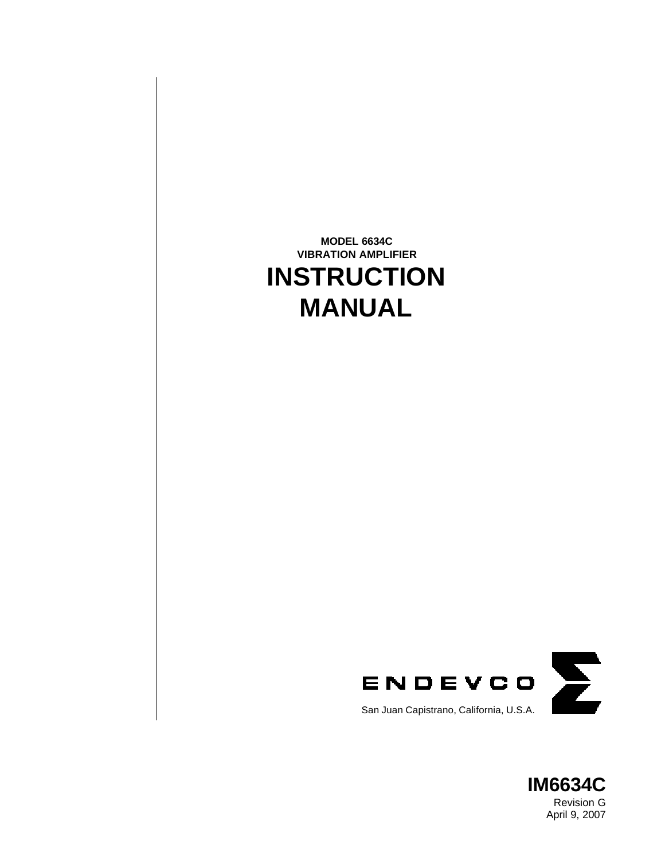



Revision G April 9, 2007

# **MODEL 6634C VIBRATION AMPLIFIER INSTRUCTION MANUAL**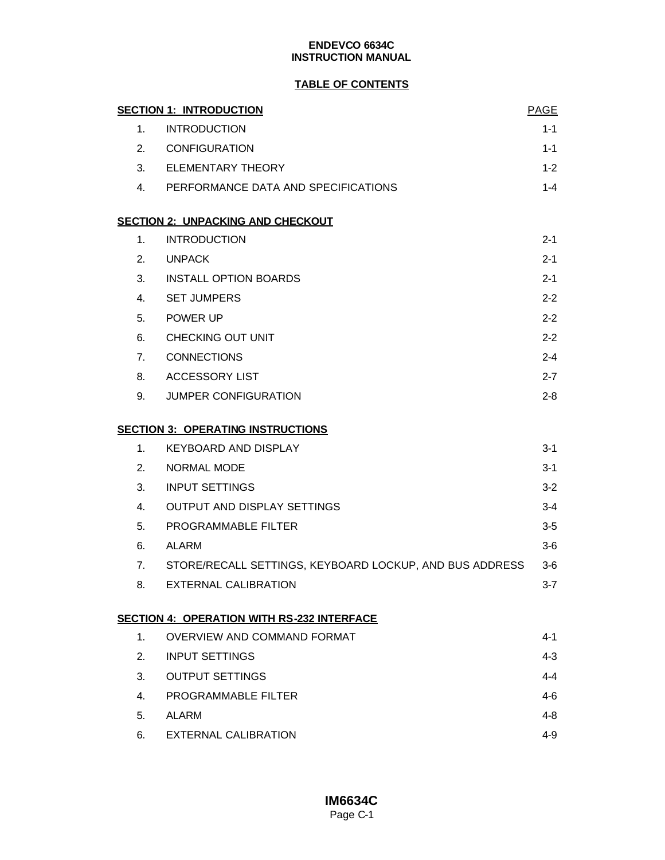### **TABLE OF CONTENTS**

|                | <b>SECTION 1: INTRODUCTION</b>                          | <b>PAGE</b> |
|----------------|---------------------------------------------------------|-------------|
| 1 <sub>1</sub> | <b>INTRODUCTION</b>                                     | $1 - 1$     |
| 2.             | CONFIGURATION                                           | $1 - 1$     |
| 3.             | <b>ELEMENTARY THEORY</b>                                | $1 - 2$     |
|                | 4. PERFORMANCE DATA AND SPECIFICATIONS                  | $1 - 4$     |
|                | <b>SECTION 2: UNPACKING AND CHECKOUT</b>                |             |
| $1_{-}$        | <b>INTRODUCTION</b>                                     | $2 - 1$     |
| 2.             | <b>UNPACK</b>                                           | $2 - 1$     |
| 3.             | <b>INSTALL OPTION BOARDS</b>                            | $2 - 1$     |
| 4.             | <b>SET JUMPERS</b>                                      | $2 - 2$     |
| 5.             | POWER UP                                                | $2 - 2$     |
| 6.             | CHECKING OUT UNIT                                       | $2 - 2$     |
| 7.             | <b>CONNECTIONS</b>                                      | $2 - 4$     |
| 8.             | ACCESSORY LIST                                          | $2 - 7$     |
| 9.             | JUMPER CONFIGURATION                                    | $2 - 8$     |
|                | <b>SECTION 3: OPERATING INSTRUCTIONS</b>                |             |
| 1.             | <b>KEYBOARD AND DISPLAY</b>                             | $3 - 1$     |
| 2.             | <b>NORMAL MODE</b>                                      | $3-1$       |
| 3.             | <b>INPUT SETTINGS</b>                                   | $3 - 2$     |
| 4.             | <b>OUTPUT AND DISPLAY SETTINGS</b>                      | $3 - 4$     |
| 5.             | PROGRAMMABLE FILTER                                     | $3 - 5$     |
| 6.             | ALARM                                                   | $3-6$       |
| 7.             | STORE/RECALL SETTINGS, KEYBOARD LOCKUP, AND BUS ADDRESS | $3-6$       |
| 8.             | EXTERNAL CALIBRATION                                    | $3 - 7$     |
|                | <b>SECTION 4: OPERATION WITH RS-232 INTERFACE</b>       |             |
| 1.             | <b>OVERVIEW AND COMMAND FORMAT</b>                      | 4-1         |
| 2.             | <b>INPUT SETTINGS</b>                                   | $4 - 3$     |
| 3.             | <b>OUTPUT SETTINGS</b>                                  | $4 - 4$     |
| 4.             | PROGRAMMABLE FILTER                                     | 4-6         |
| 5.             | ALARM                                                   | $4 - 8$     |
| 6.             | <b>EXTERNAL CALIBRATION</b>                             | $4 - 9$     |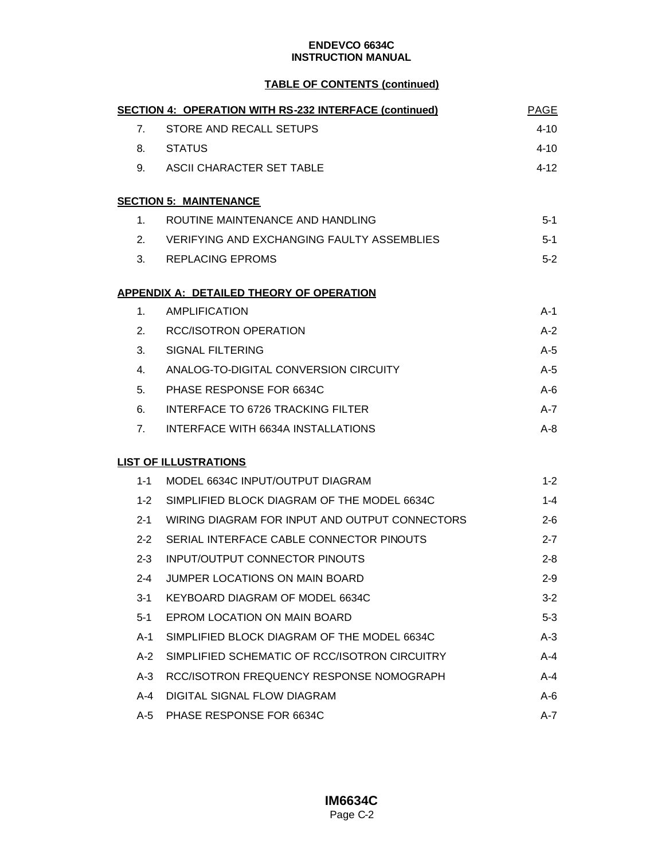### **TABLE OF CONTENTS (continued)**

|         | <b>SECTION 4: OPERATION WITH RS-232 INTERFACE (continued)</b> | PAGE     |
|---------|---------------------------------------------------------------|----------|
| 7.      | STORE AND RECALL SETUPS                                       | 4-10     |
| 8.      | STATUS                                                        | 4-10     |
| 9.      | ASCII CHARACTER SET TABLE                                     | $4 - 12$ |
|         | <b>SECTION 5: MAINTENANCE</b>                                 |          |
| 1.      | ROUTINE MAINTENANCE AND HANDLING                              | $5 - 1$  |
|         | 2. VERIFYING AND EXCHANGING FAULTY ASSEMBLIES                 | $5-1$    |
| 3.      | REPLACING EPROMS                                              | $5 - 2$  |
|         | <u>APPENDIX A: DETAILED THEORY OF OPERATION</u>               |          |
| 1.      | AMPLIFICATION                                                 | $A-1$    |
| 2.      | RCC/ISOTRON OPERATION                                         | $A-2$    |
| 3.      | SIGNAL FILTERING                                              | $A-5$    |
| 4.      | ANALOG-TO-DIGITAL CONVERSION CIRCUITY                         | $A-5$    |
| 5.      | PHASE RESPONSE FOR 6634C                                      | $A-6$    |
| 6.      | <b>INTERFACE TO 6726 TRACKING FILTER</b>                      | $A - 7$  |
| 7.      | INTERFACE WITH 6634A INSTALLATIONS                            | $A-8$    |
|         | <b>LIST OF ILLUSTRATIONS</b>                                  |          |
| 1-1     | MODEL 6634C INPUT/OUTPUT DIAGRAM                              | $1 - 2$  |
| $1 - 2$ | SIMPLIFIED BLOCK DIAGRAM OF THE MODEL 6634C                   | $1 - 4$  |
| $2 - 1$ | WIRING DIAGRAM FOR INPUT AND OUTPUT CONNECTORS                | $2 - 6$  |
| $2 - 2$ | SERIAL INTERFACE CABLE CONNECTOR PINOUTS                      | $2 - 7$  |
| $2 - 3$ | <b>INPUT/OUTPUT CONNECTOR PINOUTS</b>                         | $2 - 8$  |
| 2-4     | JUMPER LOCATIONS ON MAIN BOARD                                | $2 - 9$  |
| $3 - 1$ | KEYBOARD DIAGRAM OF MODEL 6634C                               | $3-2$    |
| $5-1$   | <b>EPROM LOCATION ON MAIN BOARD</b>                           | $5 - 3$  |
| A-1     | SIMPLIFIED BLOCK DIAGRAM OF THE MODEL 6634C                   | $A-3$    |
| $A-2$   | SIMPLIFIED SCHEMATIC OF RCC/ISOTRON CIRCUITRY                 | A-4      |
| $A-3$   | RCC/ISOTRON FREQUENCY RESPONSE NOMOGRAPH                      | A-4      |
| A-4     | DIGITAL SIGNAL FLOW DIAGRAM                                   | A-6      |
| A-5     | PHASE RESPONSE FOR 6634C                                      | A-7      |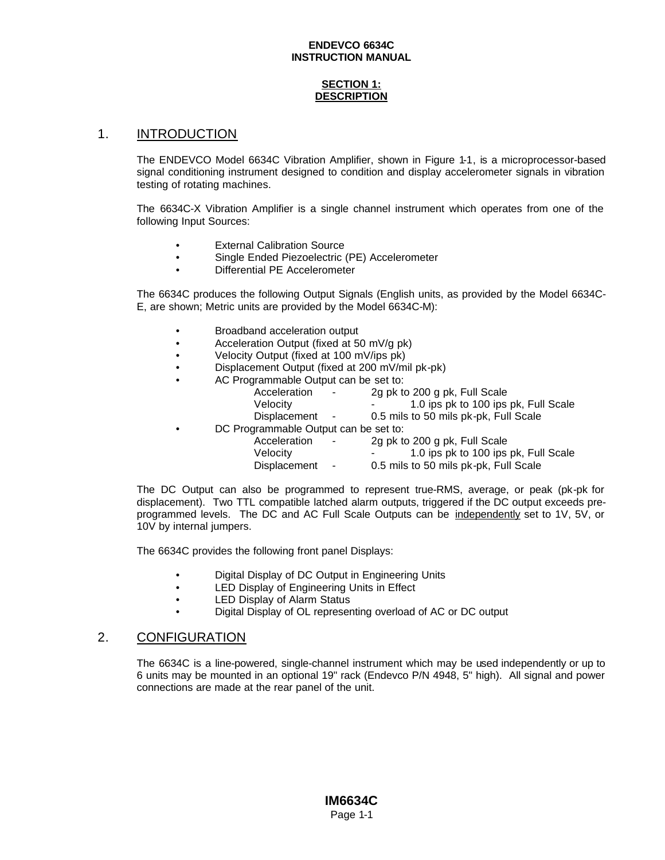### **SECTION 1: DESCRIPTION**

### 1. INTRODUCTION

The ENDEVCO Model 6634C Vibration Amplifier, shown in Figure 1-1, is a microprocessor-based signal conditioning instrument designed to condition and display accelerometer signals in vibration testing of rotating machines.

The 6634C-X Vibration Amplifier is a single channel instrument which operates from one of the following Input Sources:

- **External Calibration Source**
- Single Ended Piezoelectric (PE) Accelerometer
- Differential PE Accelerometer

The 6634C produces the following Output Signals (English units, as provided by the Model 6634C-E, are shown; Metric units are provided by the Model 6634C-M):

- Broadband acceleration output
- Acceleration Output (fixed at 50 mV/g pk)
- Velocity Output (fixed at 100 mV/ips pk)
- Displacement Output (fixed at 200 mV/mil pk-pk)
- AC Programmable Output can be set to:

|           | Acceleration<br>$\sim$                | 2g pk to 200 g pk, Full Scale         |
|-----------|---------------------------------------|---------------------------------------|
|           | Velocity                              | 1.0 ips pk to 100 ips pk, Full Scale  |
|           | Displacement -                        | 0.5 mils to 50 mils pk-pk, Full Scale |
| $\bullet$ | DC Programmable Output can be set to: |                                       |
|           | Acceleration<br>$\sim$                | 2g pk to 200 g pk, Full Scale         |
|           | Velocity                              | 1.0 ips pk to 100 ips pk, Full Scale  |
|           |                                       |                                       |

Displacement - 0.5 mils to 50 mils pk-pk, Full Scale

The DC Output can also be programmed to represent true-RMS, average, or peak (pk-pk for displacement). Two TTL compatible latched alarm outputs, triggered if the DC output exceeds preprogrammed levels. The DC and AC Full Scale Outputs can be independently set to 1V, 5V, or 10V by internal jumpers.

The 6634C provides the following front panel Displays:

- Digital Display of DC Output in Engineering Units
- LED Display of Engineering Units in Effect
- LED Display of Alarm Status
- Digital Display of OL representing overload of AC or DC output

### 2. CONFIGURATION

The 6634C is a line-powered, single-channel instrument which may be used independently or up to 6 units may be mounted in an optional 19" rack (Endevco P/N 4948, 5" high). All signal and power connections are made at the rear panel of the unit.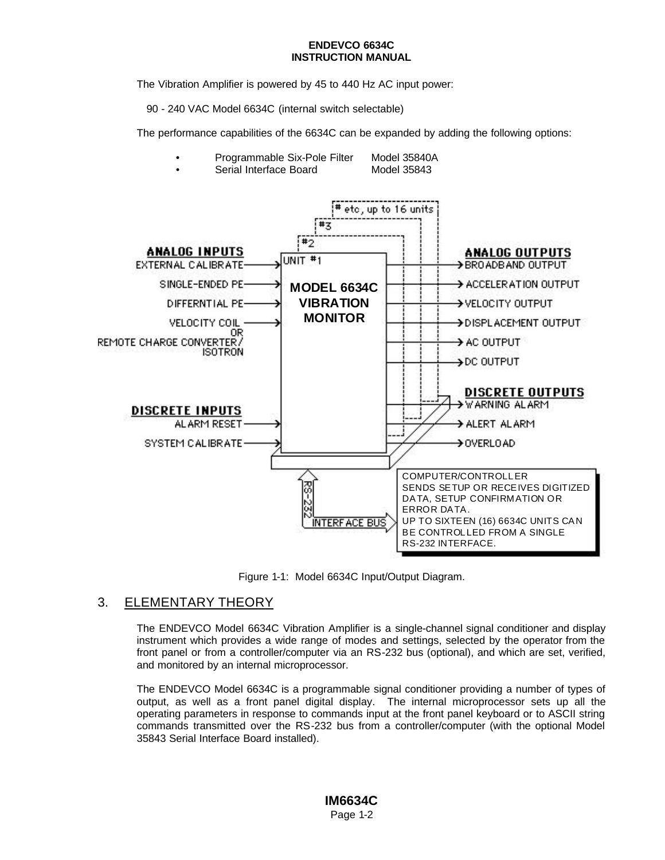The Vibration Amplifier is powered by 45 to 440 Hz AC input power:

90 - 240 VAC Model 6634C (internal switch selectable)

The performance capabilities of the 6634C can be expanded by adding the following options:

- Programmable Six-Pole Filter Model 35840A
- Serial Interface Board Model 35843



Figure 1-1: Model 6634C Input/Output Diagram.

# 3. ELEMENTARY THEORY

The ENDEVCO Model 6634C Vibration Amplifier is a single-channel signal conditioner and display instrument which provides a wide range of modes and settings, selected by the operator from the front panel or from a controller/computer via an RS-232 bus (optional), and which are set, verified, and monitored by an internal microprocessor.

The ENDEVCO Model 6634C is a programmable signal conditioner providing a number of types of output, as well as a front panel digital display. The internal microprocessor sets up all the operating parameters in response to commands input at the front panel keyboard or to ASCII string commands transmitted over the RS-232 bus from a controller/computer (with the optional Model 35843 Serial Interface Board installed).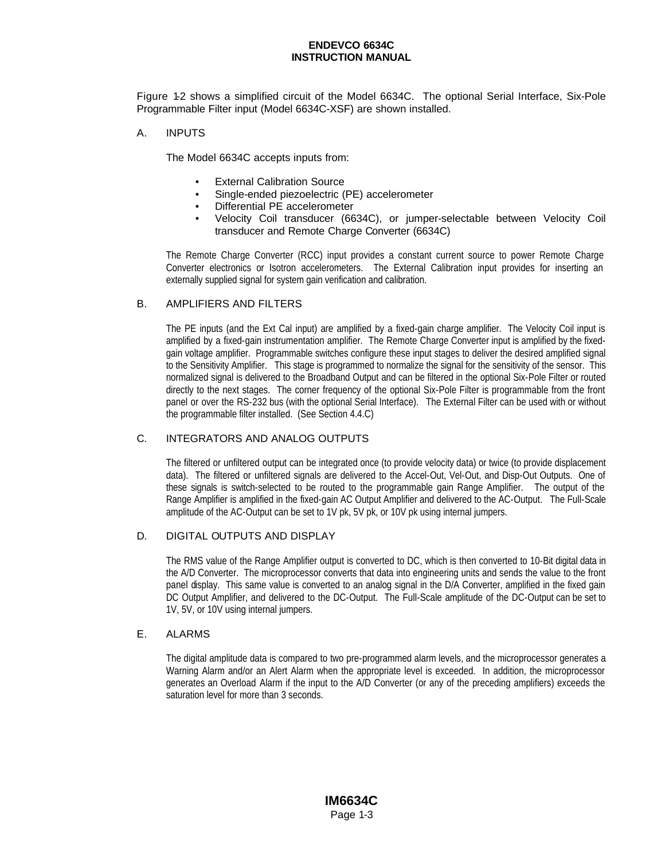Figure 1-2 shows a simplified circuit of the Model 6634C. The optional Serial Interface, Six-Pole Programmable Filter input (Model 6634C-XSF) are shown installed.

### A. INPUTS

The Model 6634C accepts inputs from:

- **External Calibration Source**
- Single-ended piezoelectric (PE) accelerometer
- Differential PE accelerometer
- Velocity Coil transducer (6634C), or jumper-selectable between Velocity Coil transducer and Remote Charge Converter (6634C)

The Remote Charge Converter (RCC) input provides a constant current source to power Remote Charge Converter electronics or Isotron accelerometers. The External Calibration input provides for inserting an externally supplied signal for system gain verification and calibration.

### B. AMPLIFIERS AND FILTERS

The PE inputs (and the Ext Cal input) are amplified by a fixed-gain charge amplifier. The Velocity Coil input is amplified by a fixed-gain instrumentation amplifier. The Remote Charge Converter input is amplified by the fixedgain voltage amplifier. Programmable switches configure these input stages to deliver the desired amplified signal to the Sensitivity Amplifier. This stage is programmed to normalize the signal for the sensitivity of the sensor. This normalized signal is delivered to the Broadband Output and can be filtered in the optional Six-Pole Filter or routed directly to the next stages. The corner frequency of the optional Six-Pole Filter is programmable from the front panel or over the RS-232 bus (with the optional Serial Interface). The External Filter can be used with or without the programmable filter installed. (See Section 4.4.C)

### C. INTEGRATORS AND ANALOG OUTPUTS

The filtered or unfiltered output can be integrated once (to provide velocity data) or twice (to provide displacement data). The filtered or unfiltered signals are delivered to the Accel-Out, Vel-Out, and Disp-Out Outputs. One of these signals is switch-selected to be routed to the programmable gain Range Amplifier. The output of the Range Amplifier is amplified in the fixed-gain AC Output Amplifier and delivered to the AC-Output. The Full-Scale amplitude of the AC-Output can be set to 1V pk, 5V pk, or 10V pk using internal jumpers.

### D. DIGITAL OUTPUTS AND DISPLAY

The RMS value of the Range Amplifier output is converted to DC, which is then converted to 10-Bit digital data in the A/D Converter. The microprocessor converts that data into engineering units and sends the value to the front panel display. This same value is converted to an analog signal in the D/A Converter, amplified in the fixed gain DC Output Amplifier, and delivered to the DC-Output. The Full-Scale amplitude of the DC-Output can be set to 1V, 5V, or 10V using internal jumpers.

### E. ALARMS

The digital amplitude data is compared to two pre-programmed alarm levels, and the microprocessor generates a Warning Alarm and/or an Alert Alarm when the appropriate level is exceeded. In addition, the microprocessor generates an Overload Alarm if the input to the A/D Converter (or any of the preceding amplifiers) exceeds the saturation level for more than 3 seconds.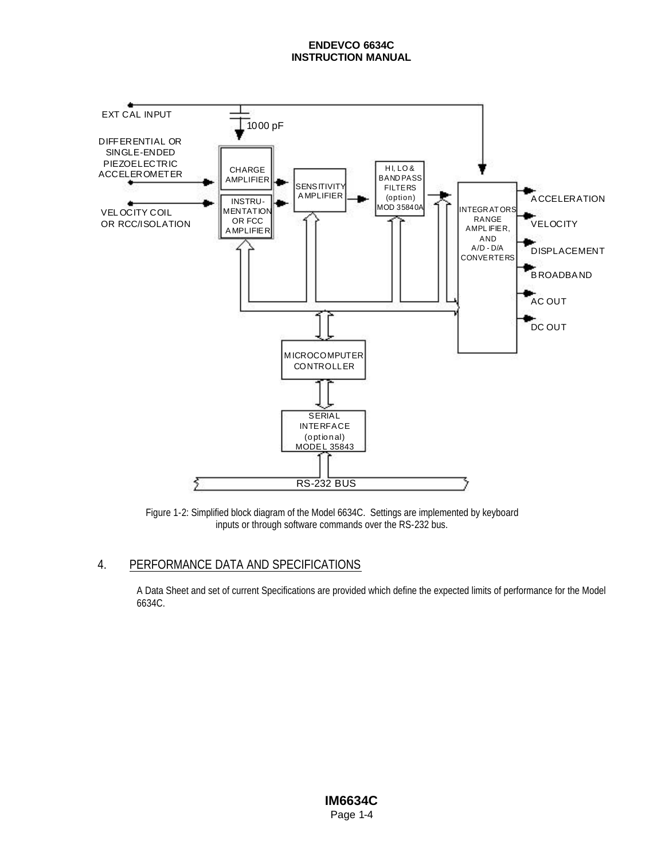

Figure 1-2: Simplified block diagram of the Model 6634C. Settings are implemented by keyboard inputs or through software commands over the RS-232 bus.

# 4. PERFORMANCE DATA AND SPECIFICATIONS

A Data Sheet and set of current Specifications are provided which define the expected limits of performance for the Model 6634C.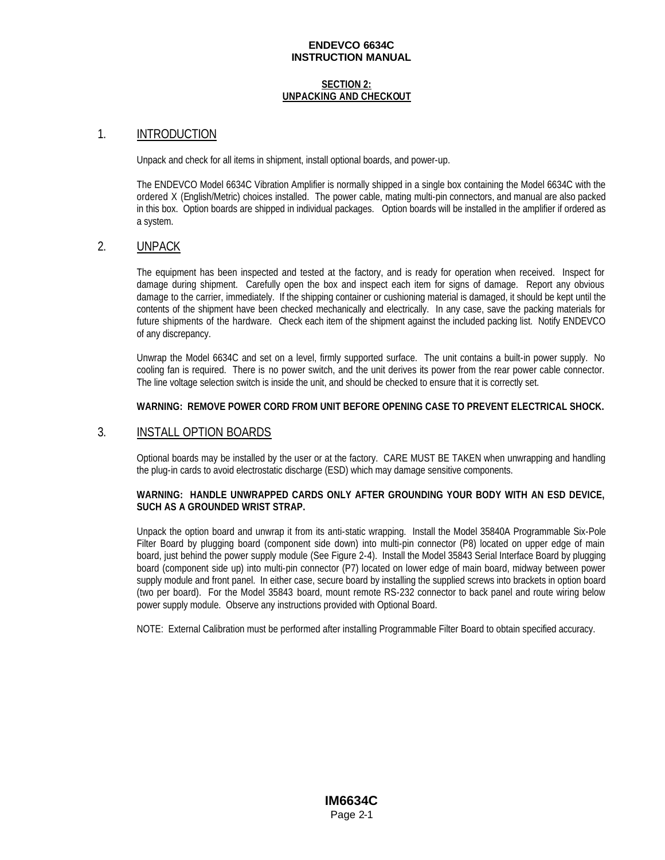#### **SECTION 2: UNPACKING AND CHECKOUT**

### 1. INTRODUCTION

Unpack and check for all items in shipment, install optional boards, and power-up.

The ENDEVCO Model 6634C Vibration Amplifier is normally shipped in a single box containing the Model 6634C with the ordered X (English/Metric) choices installed. The power cable, mating multi-pin connectors, and manual are also packed in this box. Option boards are shipped in individual packages. Option boards will be installed in the amplifier if ordered as a system.

### 2. UNPACK

The equipment has been inspected and tested at the factory, and is ready for operation when received. Inspect for damage during shipment. Carefully open the box and inspect each item for signs of damage. Report any obvious damage to the carrier, immediately. If the shipping container or cushioning material is damaged, it should be kept until the contents of the shipment have been checked mechanically and electrically. In any case, save the packing materials for future shipments of the hardware. Check each item of the shipment against the included packing list. Notify ENDEVCO of any discrepancy.

Unwrap the Model 6634C and set on a level, firmly supported surface. The unit contains a built-in power supply. No cooling fan is required. There is no power switch, and the unit derives its power from the rear power cable connector. The line voltage selection switch is inside the unit, and should be checked to ensure that it is correctly set.

### **WARNING: REMOVE POWER CORD FROM UNIT BEFORE OPENING CASE TO PREVENT ELECTRICAL SHOCK.**

### 3. INSTALL OPTION BOARDS

Optional boards may be installed by the user or at the factory. CARE MUST BE TAKEN when unwrapping and handling the plug-in cards to avoid electrostatic discharge (ESD) which may damage sensitive components.

### **WARNING: HANDLE UNWRAPPED CARDS ONLY AFTER GROUNDING YOUR BODY WITH AN ESD DEVICE, SUCH AS A GROUNDED WRIST STRAP.**

Unpack the option board and unwrap it from its anti-static wrapping. Install the Model 35840A Programmable Six-Pole Filter Board by plugging board (component side down) into multi-pin connector (P8) located on upper edge of main board, just behind the power supply module (See Figure 2-4). Install the Model 35843 Serial Interface Board by plugging board (component side up) into multi-pin connector (P7) located on lower edge of main board, midway between power supply module and front panel. In either case, secure board by installing the supplied screws into brackets in option board (two per board). For the Model 35843 board, mount remote RS-232 connector to back panel and route wiring below power supply module. Observe any instructions provided with Optional Board.

NOTE: External Calibration must be performed after installing Programmable Filter Board to obtain specified accuracy.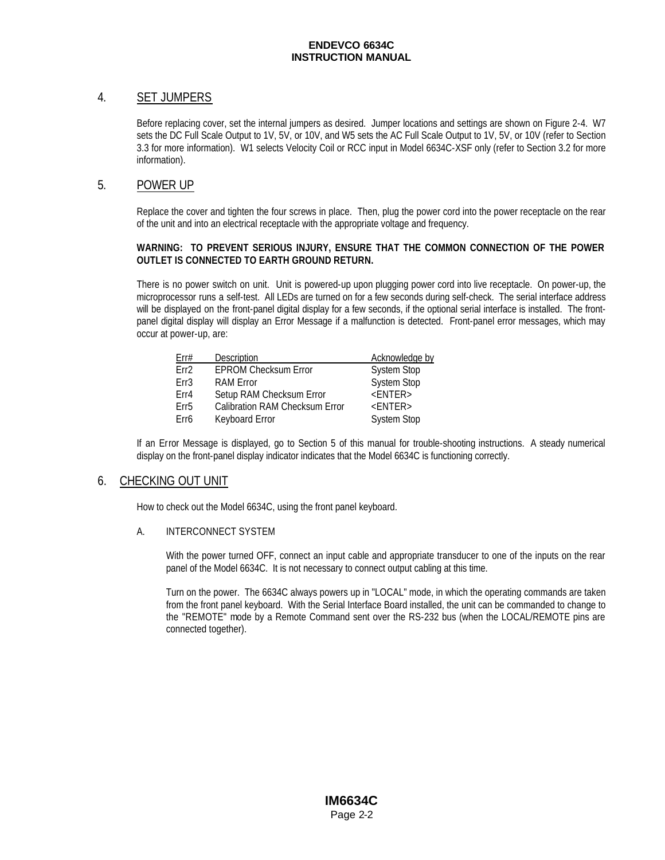### 4. SET JUMPERS

Before replacing cover, set the internal jumpers as desired. Jumper locations and settings are shown on Figure 2-4. W7 sets the DC Full Scale Output to 1V, 5V, or 10V, and W5 sets the AC Full Scale Output to 1V, 5V, or 10V (refer to Section 3.3 for more information). W1 selects Velocity Coil or RCC input in Model 6634C-XSF only (refer to Section 3.2 for more information).

### 5. POWER UP

Replace the cover and tighten the four screws in place. Then, plug the power cord into the power receptacle on the rear of the unit and into an electrical receptacle with the appropriate voltage and frequency.

### **WARNING: TO PREVENT SERIOUS INJURY, ENSURE THAT THE COMMON CONNECTION OF THE POWER OUTLET IS CONNECTED TO EARTH GROUND RETURN.**

There is no power switch on unit. Unit is powered-up upon plugging power cord into live receptacle. On power-up, the microprocessor runs a self-test. All LEDs are turned on for a few seconds during self-check. The serial interface address will be displayed on the front-panel digital display for a few seconds, if the optional serial interface is installed. The frontpanel digital display will display an Error Message if a malfunction is detected. Front-panel error messages, which may occur at power-up, are:

| Err#             | Description                           | Acknowledge by     |
|------------------|---------------------------------------|--------------------|
| Frr <sub>2</sub> | <b>EPROM Checksum Error</b>           | <b>System Stop</b> |
| Fr3              | <b>RAM Error</b>                      | <b>System Stop</b> |
| Frr4             | Setup RAM Checksum Error              | $<$ ENTER $>$      |
| Frr5             | <b>Calibration RAM Checksum Error</b> | $<$ ENTER $>$      |
| Err6             | <b>Keyboard Error</b>                 | <b>System Stop</b> |

If an Error Message is displayed, go to Section 5 of this manual for trouble-shooting instructions. A steady numerical display on the front-panel display indicator indicates that the Model 6634C is functioning correctly.

### 6. CHECKING OUT UNIT

How to check out the Model 6634C, using the front panel keyboard.

### A. INTERCONNECT SYSTEM

With the power turned OFF, connect an input cable and appropriate transducer to one of the inputs on the rear panel of the Model 6634C. It is not necessary to connect output cabling at this time.

Turn on the power. The 6634C always powers up in "LOCAL" mode, in which the operating commands are taken from the front panel keyboard. With the Serial Interface Board installed, the unit can be commanded to change to the "REMOTE" mode by a Remote Command sent over the RS-232 bus (when the LOCAL/REMOTE pins are connected together).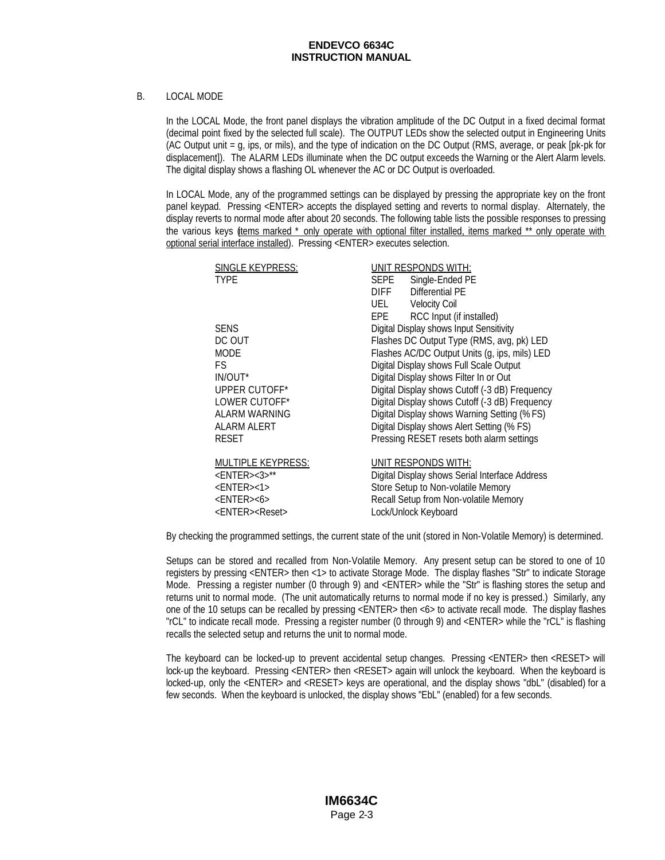### B. LOCAL MODE

In the LOCAL Mode, the front panel displays the vibration amplitude of the DC Output in a fixed decimal format (decimal point fixed by the selected full scale). The OUTPUT LEDs show the selected output in Engineering Units (AC Output unit = g, ips, or mils), and the type of indication on the DC Output (RMS, average, or peak [pk-pk for displacement]). The ALARM LEDs illuminate when the DC output exceeds the Warning or the Alert Alarm levels. The digital display shows a flashing OL whenever the AC or DC Output is overloaded.

In LOCAL Mode, any of the programmed settings can be displayed by pressing the appropriate key on the front panel keypad. Pressing <ENTER> accepts the displayed setting and reverts to normal display. Alternately, the display reverts to normal mode after about 20 seconds. The following table lists the possible responses to pressing the various keys (tems marked \* only operate with optional filter installed, items marked \*\* only operate with optional serial interface installed). Pressing <ENTER> executes selection.

| SINGLE KEYPRESS:               | <b>UNIT RESPONDS WITH:</b>                     |
|--------------------------------|------------------------------------------------|
| <b>TYPE</b>                    | SEPE<br>Single-Ended PE                        |
|                                | Differential PE<br><b>DIFF</b>                 |
|                                | UEL Velocity Coil                              |
|                                | EPE RCC Input (if installed)                   |
| <b>SENS</b>                    | Digital Display shows Input Sensitivity        |
| DC OUT                         | Flashes DC Output Type (RMS, avg, pk) LED      |
| <b>MODE</b>                    | Flashes AC/DC Output Units (g, ips, mils) LED  |
| FS.                            | Digital Display shows Full Scale Output        |
| IN/OUT*                        | Digital Display shows Filter In or Out         |
| UPPER CUTOFF*                  | Digital Display shows Cutoff (-3 dB) Frequency |
| LOWER CUTOFF*                  | Digital Display shows Cutoff (-3 dB) Frequency |
| <b>ALARM WARNING</b>           | Digital Display shows Warning Setting (% FS)   |
| ALARM ALERT                    | Digital Display shows Alert Setting (% FS)     |
| <b>RESET</b>                   | Pressing RESET resets both alarm settings      |
| <b>MULTIPLE KEYPRESS:</b>      | UNIT RESPONDS WITH:                            |
| $<$ ENTER><3>**                | Digital Display shows Serial Interface Address |
| $<$ ENTER $>$ <1>              | Store Setup to Non-volatile Memory             |
| $<$ ENTER> $<$ 6>              | Recall Setup from Non-volatile Memory          |
| <enter><reset></reset></enter> | Lock/Unlock Keyboard                           |

By checking the programmed settings, the current state of the unit (stored in Non-Volatile Memory) is determined.

Setups can be stored and recalled from Non-Volatile Memory. Any present setup can be stored to one of 10 registers by pressing <ENTER> then <1> to activate Storage Mode. The display flashes "Str" to indicate Storage Mode. Pressing a register number (0 through 9) and <ENTER> while the "Str" is flashing stores the setup and returns unit to normal mode. (The unit automatically returns to normal mode if no key is pressed.) Similarly, any one of the 10 setups can be recalled by pressing <ENTER> then <6> to activate recall mode. The display flashes "rCL" to indicate recall mode. Pressing a register number (0 through 9) and <ENTER> while the "rCL" is flashing recalls the selected setup and returns the unit to normal mode.

The keyboard can be locked-up to prevent accidental setup changes. Pressing <ENTER> then <RESET> will lock-up the keyboard. Pressing <ENTER> then <RESET> again will unlock the keyboard. When the keyboard is locked-up, only the <ENTER> and <RESET> keys are operational, and the display shows "dbL" (disabled) for a few seconds. When the keyboard is unlocked, the display shows "EbL" (enabled) for a few seconds.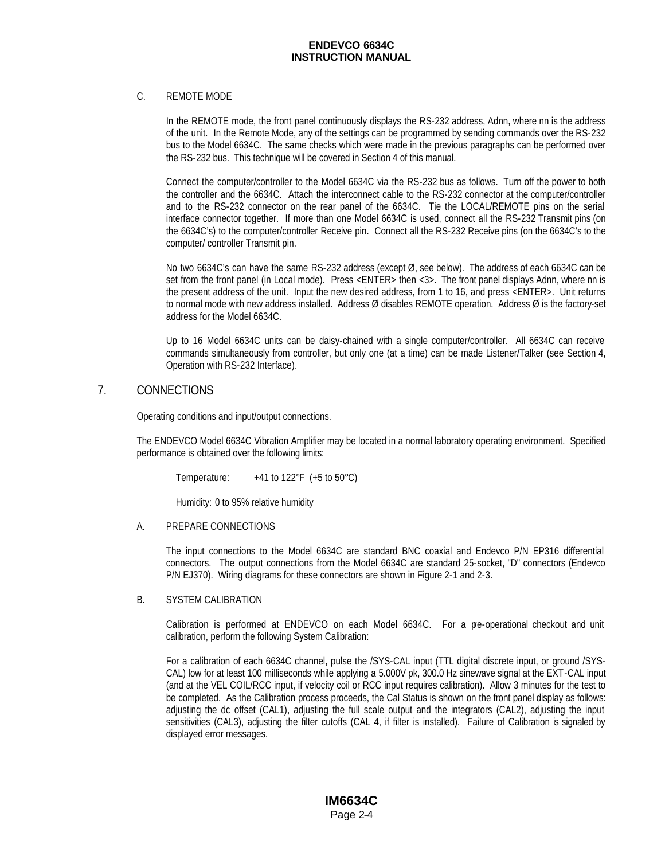#### C. REMOTE MODE

In the REMOTE mode, the front panel continuously displays the RS-232 address, Adnn, where nn is the address of the unit. In the Remote Mode, any of the settings can be programmed by sending commands over the RS-232 bus to the Model 6634C. The same checks which were made in the previous paragraphs can be performed over the RS-232 bus. This technique will be covered in Section 4 of this manual.

Connect the computer/controller to the Model 6634C via the RS-232 bus as follows. Turn off the power to both the controller and the 6634C. Attach the interconnect cable to the RS-232 connector at the computer/controller and to the RS-232 connector on the rear panel of the 6634C. Tie the LOCAL/REMOTE pins on the serial interface connector together. If more than one Model 6634C is used, connect all the RS-232 Transmit pins (on the 6634C's) to the computer/controller Receive pin. Connect all the RS-232 Receive pins (on the 6634C's to the computer/ controller Transmit pin.

No two 6634C's can have the same RS-232 address (except Ø, see below). The address of each 6634C can be set from the front panel (in Local mode). Press <ENTER> then <3>. The front panel displays Adnn, where nn is the present address of the unit. Input the new desired address, from 1 to 16, and press <ENTER>. Unit returns to normal mode with new address installed. Address Ø disables REMOTE operation. Address Ø is the factory-set address for the Model 6634C.

Up to 16 Model 6634C units can be daisy-chained with a single computer/controller. All 6634C can receive commands simultaneously from controller, but only one (at a time) can be made Listener/Talker (see Section 4, Operation with RS-232 Interface).

### 7. CONNECTIONS

Operating conditions and input/output connections.

The ENDEVCO Model 6634C Vibration Amplifier may be located in a normal laboratory operating environment. Specified performance is obtained over the following limits:

Temperature:  $+41$  to  $122^{\circ}F$  (+5 to  $50^{\circ}C$ )

Humidity: 0 to 95% relative humidity

### A. PREPARE CONNECTIONS

The input connections to the Model 6634C are standard BNC coaxial and Endevco P/N EP316 differential connectors. The output connections from the Model 6634C are standard 25-socket, "D" connectors (Endevco P/N EJ370). Wiring diagrams for these connectors are shown in Figure 2-1 and 2-3.

### B. SYSTEM CALIBRATION

Calibration is performed at ENDEVCO on each Model 6634C. For a pre-operational checkout and unit calibration, perform the following System Calibration:

For a calibration of each 6634C channel, pulse the /SYS-CAL input (TTL digital discrete input, or ground /SYS-CAL) low for at least 100 milliseconds while applying a 5.000V pk, 300.0 Hz sinewave signal at the EXT-CAL input (and at the VEL COIL/RCC input, if velocity coil or RCC input requires calibration). Allow 3 minutes for the test to be completed. As the Calibration process proceeds, the Cal Status is shown on the front panel display as follows: adjusting the dc offset (CAL1), adjusting the full scale output and the integrators (CAL2), adjusting the input sensitivities (CAL3), adjusting the filter cutoffs (CAL 4, if filter is installed). Failure of Calibration is signaled by displayed error messages.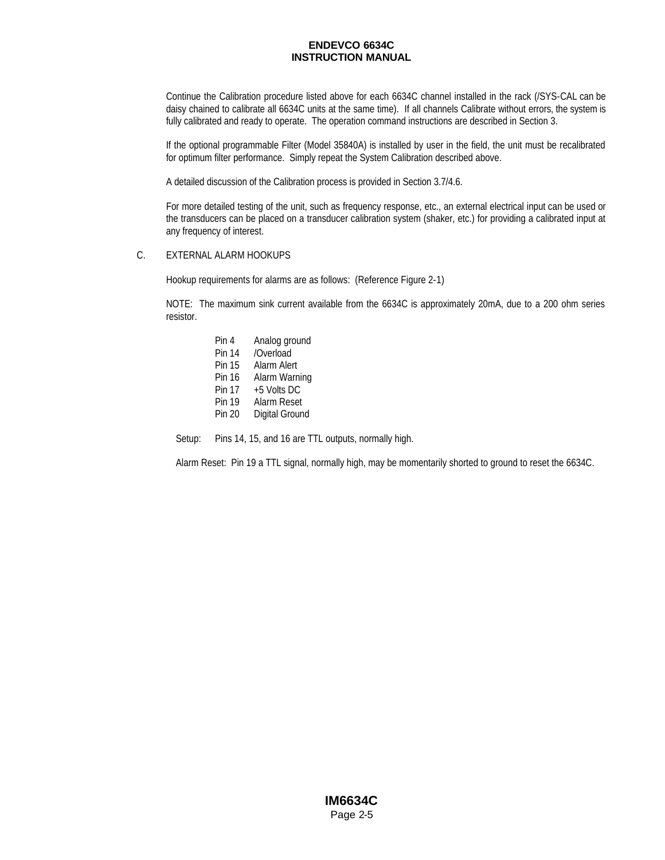Continue the Calibration procedure listed above for each 6634C channel installed in the rack (/SYS-CAL can be daisy chained to calibrate all 6634C units at the same time). If all channels Calibrate without errors, the system is fully calibrated and ready to operate. The operation command instructions are described in Section 3.

If the optional programmable Filter (Model 35840A) is installed by user in the field, the unit must be recalibrated for optimum filter performance. Simply repeat the System Calibration described above.

A detailed discussion of the Calibration process is provided in Section 3.7/4.6.

For more detailed testing of the unit, such as frequency response, etc., an external electrical input can be used or the transducers can be placed on a transducer calibration system (shaker, etc.) for providing a calibrated input at any frequency of interest.

#### C. EXTERNAL ALARM HOOKUPS

Hookup requirements for alarms are as follows: (Reference Figure 2-1)

NOTE: The maximum sink current available from the 6634C is approximately 20mA, due to a 200 ohm series resistor.

> Pin 4 Analog ground Pin 14 /Overload Pin 15 Alarm Alert Pin 16 Alarm Warning Pin 17 +5 Volts DC Pin 19 Alarm Reset Pin 20 Digital Ground

Setup: Pins 14, 15, and 16 are TTL outputs, normally high.

Alarm Reset: Pin 19 a TTL signal, normally high, may be momentarily shorted to ground to reset the 6634C.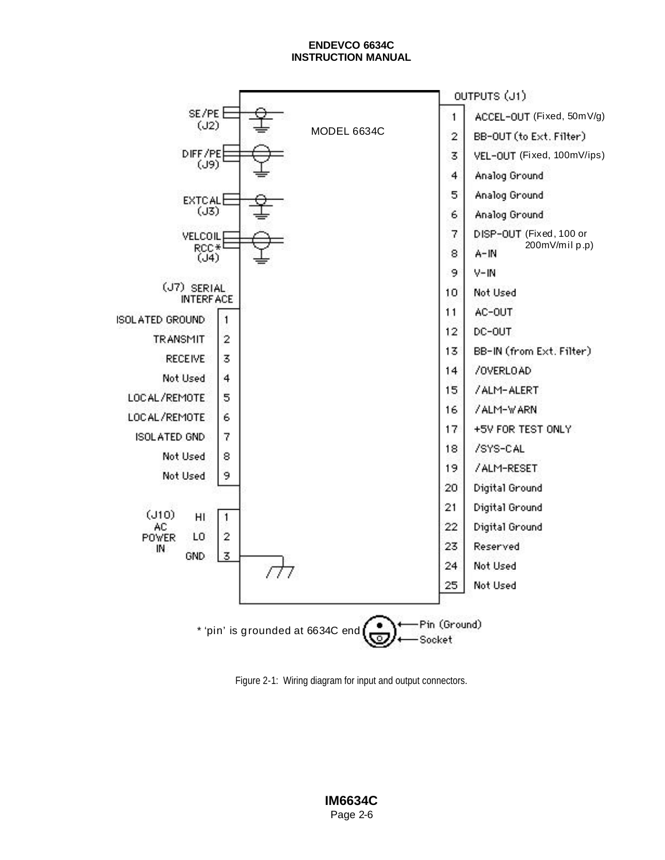

Figure 2-1: Wiring diagram for input and output connectors.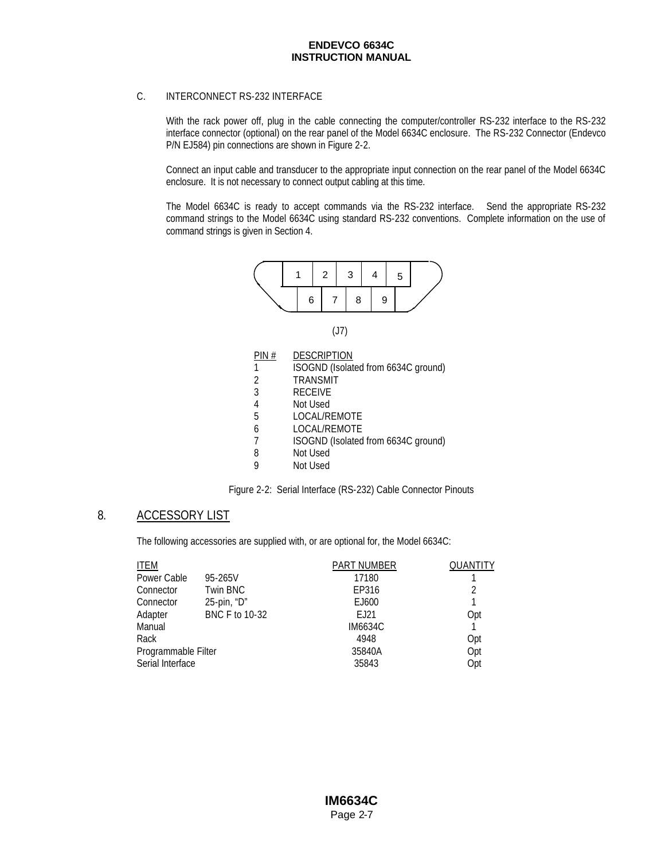### C. INTERCONNECT RS-232 INTERFACE

With the rack power off, plug in the cable connecting the computer/controller RS-232 interface to the RS-232 interface connector (optional) on the rear panel of the Model 6634C enclosure. The RS-232 Connector (Endevco P/N EJ584) pin connections are shown in Figure 2-2.

Connect an input cable and transducer to the appropriate input connection on the rear panel of the Model 6634C enclosure. It is not necessary to connect output cabling at this time.

The Model 6634C is ready to accept commands via the RS-232 interface. Send the appropriate RS-232 command strings to the Model 6634C using standard RS-232 conventions. Complete information on the use of command strings is given in Section 4.



(J7)

| PIN# | <b>DESCRIPTION</b>                  |
|------|-------------------------------------|
| 1    | ISOGND (Isolated from 6634C ground) |
| 2    | <b>TRANSMIT</b>                     |
| 3    | <b>RECEIVE</b>                      |
| 4    | Not Used                            |
| 5    | LOCAL/REMOTE                        |
| 6    | <b>LOCAL/REMOTE</b>                 |
| 7    | ISOGND (Isolated from 6634C ground) |
| 8    | Not Used                            |
|      | Not Used                            |

### 8. ACCESSORY LIST

The following accessories are supplied with, or are optional for, the Model 6634C:

|                     | <b>PART NUMBER</b> | <b>QUANTITY</b> |
|---------------------|--------------------|-----------------|
| 95-265V             | 17180              |                 |
| Twin BNC            | EP316              | 2               |
| 25-pin, "D"         | EJ600              |                 |
| BNC F to 10-32      | F.121              | Opt             |
|                     | <b>IM6634C</b>     |                 |
|                     | 4948               | Opt             |
| Programmable Filter | 35840A             | Opt             |
|                     | 35843              | Opt             |
|                     |                    |                 |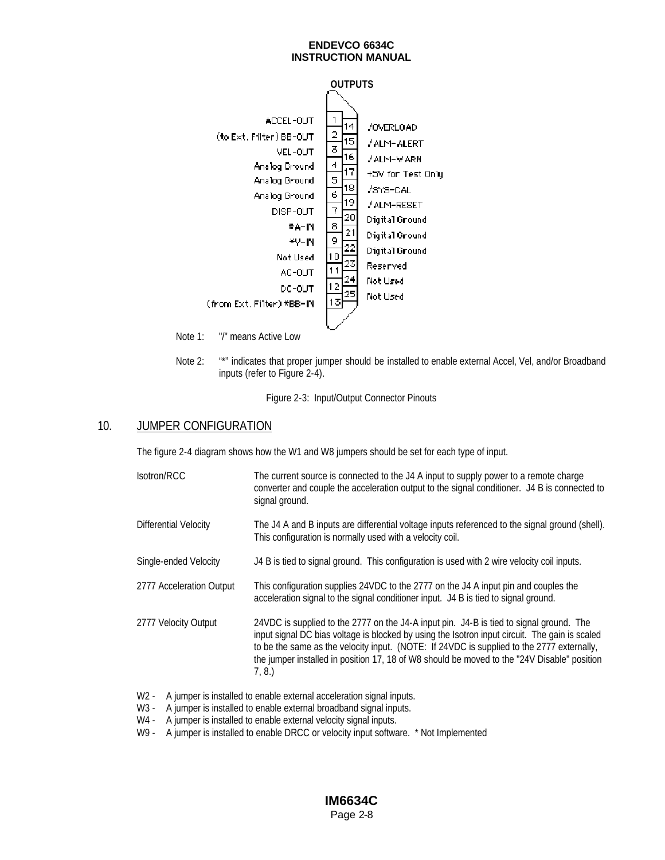

Note 2: "\*" indicates that proper jumper should be installed to enable external Accel, Vel, and/or Broadband inputs (refer to Figure 2-4).

Figure 2-3: Input/Output Connector Pinouts

### 10. JUMPER CONFIGURATION

The figure 2-4 diagram shows how the W1 and W8 jumpers should be set for each type of input.

| Isotron/RCC              | The current source is connected to the J4 A input to supply power to a remote charge<br>converter and couple the acceleration output to the signal conditioner. J4 B is connected to<br>signal ground.                                                                                                                                                                                         |
|--------------------------|------------------------------------------------------------------------------------------------------------------------------------------------------------------------------------------------------------------------------------------------------------------------------------------------------------------------------------------------------------------------------------------------|
| Differential Velocity    | The J4 A and B inputs are differential voltage inputs referenced to the signal ground (shell).<br>This configuration is normally used with a velocity coil.                                                                                                                                                                                                                                    |
| Single-ended Velocity    | J4 B is tied to signal ground. This configuration is used with 2 wire velocity coil inputs.                                                                                                                                                                                                                                                                                                    |
| 2777 Acceleration Output | This configuration supplies 24VDC to the 2777 on the J4 A input pin and couples the<br>acceleration signal to the signal conditioner input. J4 B is tied to signal ground.                                                                                                                                                                                                                     |
| 2777 Velocity Output     | 24VDC is supplied to the 2777 on the J4-A input pin. J4-B is tied to signal ground. The<br>input signal DC bias voltage is blocked by using the Isotron input circuit. The gain is scaled<br>to be the same as the velocity input. (NOTE: If 24VDC is supplied to the 2777 externally,<br>the jumper installed in position 17, 18 of W8 should be moved to the "24V Disable" position<br>7, 8. |

- W2 A jumper is installed to enable external acceleration signal inputs.
- W3 A jumper is installed to enable external broadband signal inputs.
- W4 A jumper is installed to enable external velocity signal inputs.
- W9 A jumper is installed to enable DRCC or velocity input software. \* Not Implemented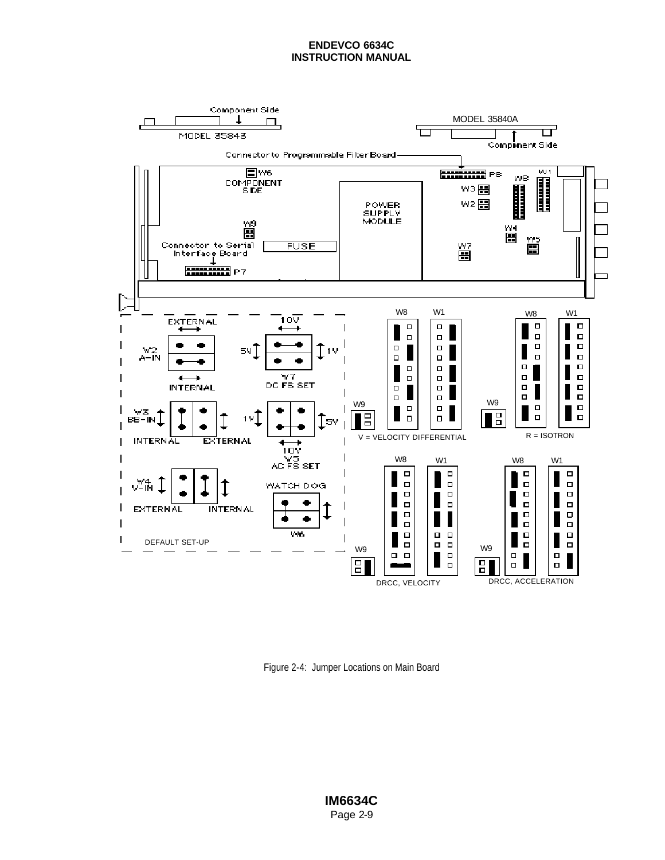

Figure 2-4: Jumper Locations on Main Board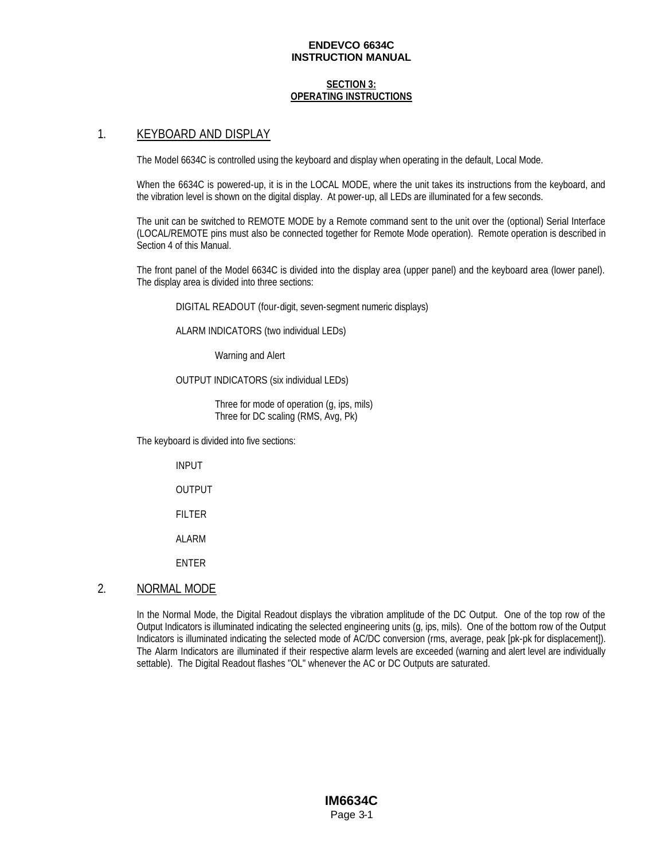#### **SECTION 3: OPERATING INSTRUCTIONS**

### 1. KEYBOARD AND DISPLAY

The Model 6634C is controlled using the keyboard and display when operating in the default, Local Mode.

When the 6634C is powered-up, it is in the LOCAL MODE, where the unit takes its instructions from the keyboard, and the vibration level is shown on the digital display. At power-up, all LEDs are illuminated for a few seconds.

The unit can be switched to REMOTE MODE by a Remote command sent to the unit over the (optional) Serial Interface (LOCAL/REMOTE pins must also be connected together for Remote Mode operation). Remote operation is described in Section 4 of this Manual.

The front panel of the Model 6634C is divided into the display area (upper panel) and the keyboard area (lower panel). The display area is divided into three sections:

DIGITAL READOUT (four-digit, seven-segment numeric displays)

ALARM INDICATORS (two individual LEDs)

Warning and Alert

#### OUTPUT INDICATORS (six individual LEDs)

Three for mode of operation (g, ips, mils) Three for DC scaling (RMS, Avg, Pk)

The keyboard is divided into five sections:

INPUT

OUTPUT

FILTER

ALARM

ENTER

### 2. NORMAL MODE

In the Normal Mode, the Digital Readout displays the vibration amplitude of the DC Output. One of the top row of the Output Indicators is illuminated indicating the selected engineering units (g, ips, mils). One of the bottom row of the Output Indicators is illuminated indicating the selected mode of AC/DC conversion (rms, average, peak [pk-pk for displacement]). The Alarm Indicators are illuminated if their respective alarm levels are exceeded (warning and alert level are individually settable). The Digital Readout flashes "OL" whenever the AC or DC Outputs are saturated.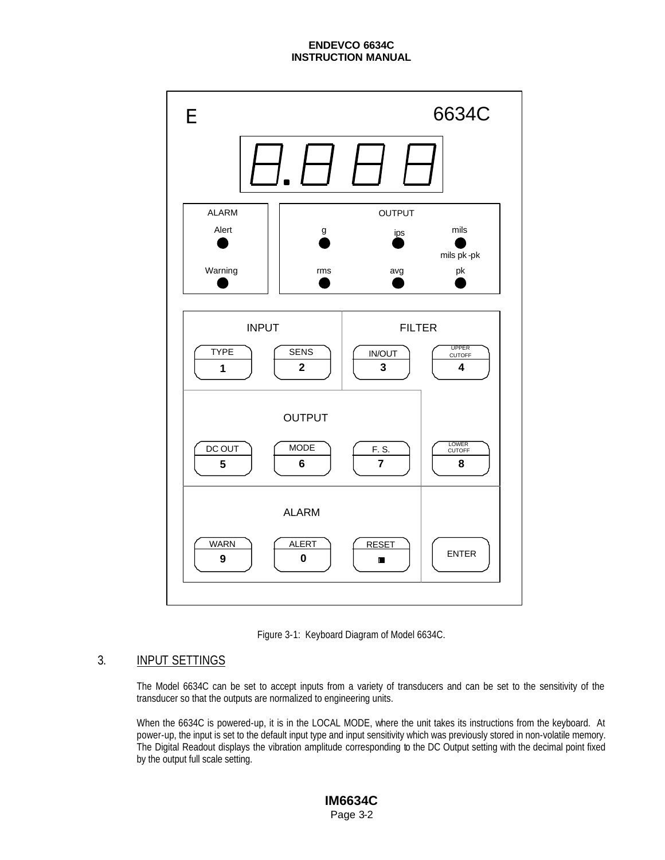

Figure 3-1: Keyboard Diagram of Model 6634C.

# 3. INPUT SETTINGS

The Model 6634C can be set to accept inputs from a variety of transducers and can be set to the sensitivity of the transducer so that the outputs are normalized to engineering units.

When the 6634C is powered-up, it is in the LOCAL MODE, where the unit takes its instructions from the keyboard. At power-up, the input is set to the default input type and input sensitivity which was previously stored in non-volatile memory. The Digital Readout displays the vibration amplitude corresponding to the DC Output setting with the decimal point fixed by the output full scale setting.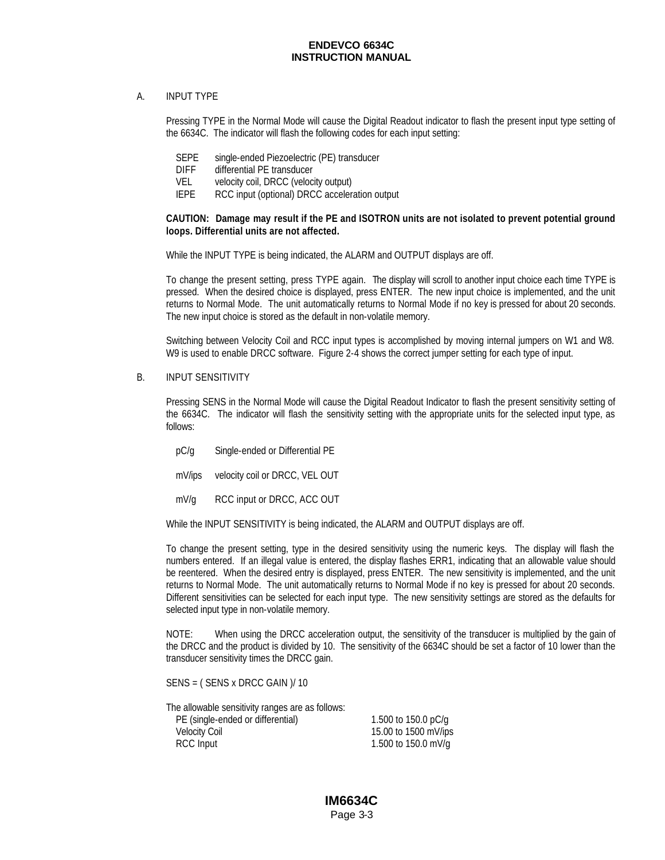#### A. INPUT TYPE

Pressing TYPE in the Normal Mode will cause the Digital Readout indicator to flash the present input type setting of the 6634C. The indicator will flash the following codes for each input setting:

- SEPE single-ended Piezoelectric (PE) transducer
- DIFF differential PE transducer
- VEL velocity coil, DRCC (velocity output)
- IEPE RCC input (optional) DRCC acceleration output

#### **CAUTION: Damage may result if the PE and ISOTRON units are not isolated to prevent potential ground loops. Differential units are not affected.**

While the INPUT TYPE is being indicated, the ALARM and OUTPUT displays are off.

To change the present setting, press TYPE again. The display will scroll to another input choice each time TYPE is pressed. When the desired choice is displayed, press ENTER. The new input choice is implemented, and the unit returns to Normal Mode. The unit automatically returns to Normal Mode if no key is pressed for about 20 seconds. The new input choice is stored as the default in non-volatile memory.

Switching between Velocity Coil and RCC input types is accomplished by moving internal jumpers on W1 and W8. W9 is used to enable DRCC software. Figure 2-4 shows the correct jumper setting for each type of input.

B. INPUT SENSITIVITY

Pressing SENS in the Normal Mode will cause the Digital Readout Indicator to flash the present sensitivity setting of the 6634C. The indicator will flash the sensitivity setting with the appropriate units for the selected input type, as follows:

- pC/g Single-ended or Differential PE
- mV/ips velocity coil or DRCC, VEL OUT
- mV/g RCC input or DRCC, ACC OUT

While the INPUT SENSITIVITY is being indicated, the ALARM and OUTPUT displays are off.

To change the present setting, type in the desired sensitivity using the numeric keys. The display will flash the numbers entered. If an illegal value is entered, the display flashes ERR1, indicating that an allowable value should be reentered. When the desired entry is displayed, press ENTER. The new sensitivity is implemented, and the unit returns to Normal Mode. The unit automatically returns to Normal Mode if no key is pressed for about 20 seconds. Different sensitivities can be selected for each input type. The new sensitivity settings are stored as the defaults for selected input type in non-volatile memory.

NOTE: When using the DRCC acceleration output, the sensitivity of the transducer is multiplied by the gain of the DRCC and the product is divided by 10. The sensitivity of the 6634C should be set a factor of 10 lower than the transducer sensitivity times the DRCC gain.

SENS = ( SENS x DRCC GAIN )/ 10

The allowable sensitivity ranges are as follows: PE (single-ended or differential) 1.500 to 150.0 pC/g Velocity Coil 15.00 to 1500 mV/ips RCC Input 1.500 to 150.0 mV/g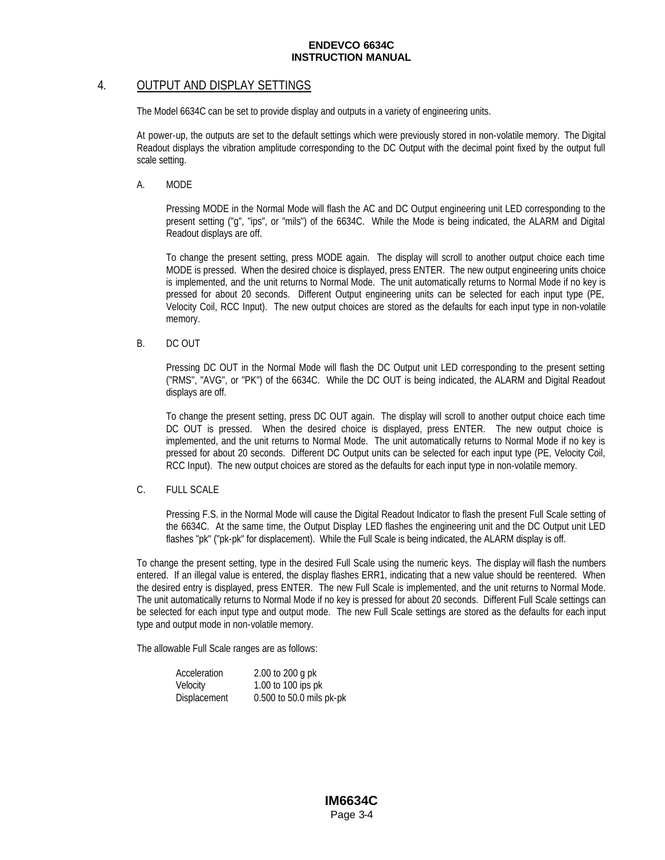### 4. OUTPUT AND DISPLAY SETTINGS

The Model 6634C can be set to provide display and outputs in a variety of engineering units.

At power-up, the outputs are set to the default settings which were previously stored in non-volatile memory. The Digital Readout displays the vibration amplitude corresponding to the DC Output with the decimal point fixed by the output full scale setting.

A. MODE

Pressing MODE in the Normal Mode will flash the AC and DC Output engineering unit LED corresponding to the present setting ("g", "ips", or "mils") of the 6634C. While the Mode is being indicated, the ALARM and Digital Readout displays are off.

To change the present setting, press MODE again. The display will scroll to another output choice each time MODE is pressed. When the desired choice is displayed, press ENTER. The new output engineering units choice is implemented, and the unit returns to Normal Mode. The unit automatically returns to Normal Mode if no key is pressed for about 20 seconds. Different Output engineering units can be selected for each input type (PE, Velocity Coil, RCC Input). The new output choices are stored as the defaults for each input type in non-volatile memory.

B. DC OUT

Pressing DC OUT in the Normal Mode will flash the DC Output unit LED corresponding to the present setting ("RMS", "AVG", or "PK") of the 6634C. While the DC OUT is being indicated, the ALARM and Digital Readout displays are off.

To change the present setting, press DC OUT again. The display will scroll to another output choice each time DC OUT is pressed. When the desired choice is displayed, press ENTER. The new output choice is implemented, and the unit returns to Normal Mode. The unit automatically returns to Normal Mode if no key is pressed for about 20 seconds. Different DC Output units can be selected for each input type (PE, Velocity Coil, RCC Input). The new output choices are stored as the defaults for each input type in non-volatile memory.

### C. FULL SCALE

Pressing F.S. in the Normal Mode will cause the Digital Readout Indicator to flash the present Full Scale setting of the 6634C. At the same time, the Output Display LED flashes the engineering unit and the DC Output unit LED flashes "pk" ("pk-pk" for displacement). While the Full Scale is being indicated, the ALARM display is off.

To change the present setting, type in the desired Full Scale using the numeric keys. The display will flash the numbers entered. If an illegal value is entered, the display flashes ERR1, indicating that a new value should be reentered. When the desired entry is displayed, press ENTER. The new Full Scale is implemented, and the unit returns to Normal Mode. The unit automatically returns to Normal Mode if no key is pressed for about 20 seconds. Different Full Scale settings can be selected for each input type and output mode. The new Full Scale settings are stored as the defaults for each input type and output mode in non-volatile memory.

The allowable Full Scale ranges are as follows:

| Acceleration | 2.00 to 200 g pk         |
|--------------|--------------------------|
| Velocity     | 1.00 to 100 ips pk       |
| Displacement | 0.500 to 50.0 mils pk-pk |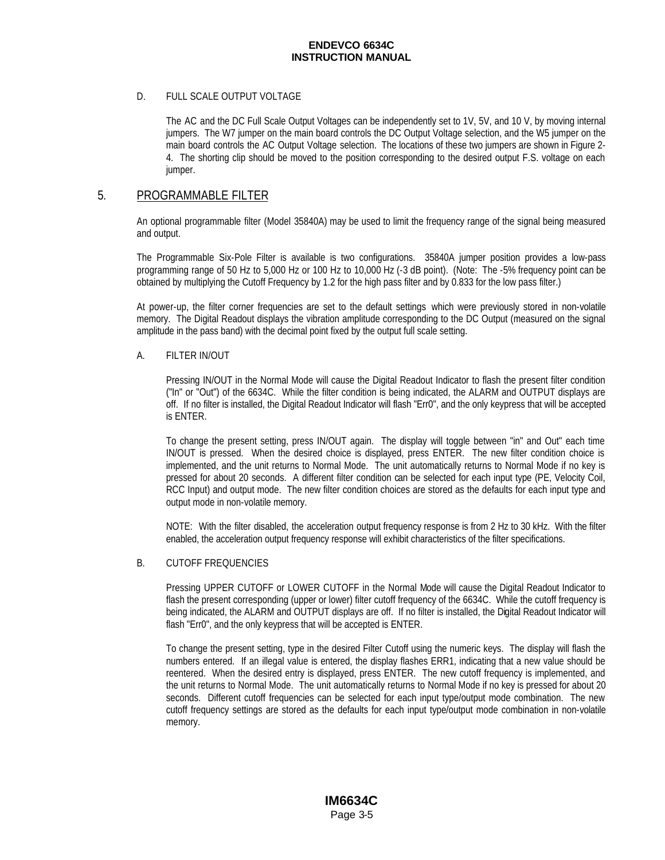#### D. FULL SCALE OUTPUT VOLTAGE

The AC and the DC Full Scale Output Voltages can be independently set to 1V, 5V, and 10 V, by moving internal jumpers. The W7 jumper on the main board controls the DC Output Voltage selection, and the W5 jumper on the main board controls the AC Output Voltage selection. The locations of these two jumpers are shown in Figure 2- 4. The shorting clip should be moved to the position corresponding to the desired output F.S. voltage on each jumper.

### 5. PROGRAMMABLE FILTER

An optional programmable filter (Model 35840A) may be used to limit the frequency range of the signal being measured and output.

The Programmable Six-Pole Filter is available is two configurations. 35840A jumper position provides a low-pass programming range of 50 Hz to 5,000 Hz or 100 Hz to 10,000 Hz (-3 dB point). (Note: The -5% frequency point can be obtained by multiplying the Cutoff Frequency by 1.2 for the high pass filter and by 0.833 for the low pass filter.)

At power-up, the filter corner frequencies are set to the default settings which were previously stored in non-volatile memory. The Digital Readout displays the vibration amplitude corresponding to the DC Output (measured on the signal amplitude in the pass band) with the decimal point fixed by the output full scale setting.

#### A. FILTER IN/OUT

Pressing IN/OUT in the Normal Mode will cause the Digital Readout Indicator to flash the present filter condition ("In" or "Out") of the 6634C. While the filter condition is being indicated, the ALARM and OUTPUT displays are off. If no filter is installed, the Digital Readout Indicator will flash "Err0", and the only keypress that will be accepted is ENTER.

To change the present setting, press IN/OUT again. The display will toggle between "in" and Out" each time IN/OUT is pressed. When the desired choice is displayed, press ENTER. The new filter condition choice is implemented, and the unit returns to Normal Mode. The unit automatically returns to Normal Mode if no key is pressed for about 20 seconds. A different filter condition can be selected for each input type (PE, Velocity Coil, RCC Input) and output mode. The new filter condition choices are stored as the defaults for each input type and output mode in non-volatile memory.

NOTE: With the filter disabled, the acceleration output frequency response is from 2 Hz to 30 kHz. With the filter enabled, the acceleration output frequency response will exhibit characteristics of the filter specifications.

#### B. CUTOFF FREQUENCIES

Pressing UPPER CUTOFF or LOWER CUTOFF in the Normal Mode will cause the Digital Readout Indicator to flash the present corresponding (upper or lower) filter cutoff frequency of the 6634C. While the cutoff frequency is being indicated, the ALARM and OUTPUT displays are off. If no filter is installed, the Digital Readout Indicator will flash "Err0", and the only keypress that will be accepted is ENTER.

To change the present setting, type in the desired Filter Cutoff using the numeric keys. The display will flash the numbers entered. If an illegal value is entered, the display flashes ERR1, indicating that a new value should be reentered. When the desired entry is displayed, press ENTER. The new cutoff frequency is implemented, and the unit returns to Normal Mode. The unit automatically returns to Normal Mode if no key is pressed for about 20 seconds. Different cutoff frequencies can be selected for each input type/output mode combination. The new cutoff frequency settings are stored as the defaults for each input type/output mode combination in non-volatile memory.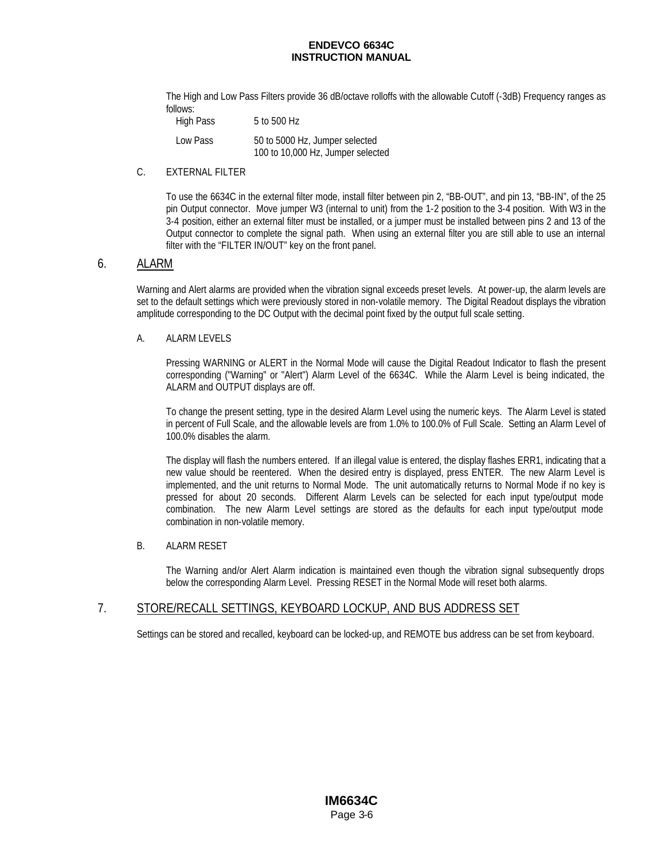The High and Low Pass Filters provide 36 dB/octave rolloffs with the allowable Cutoff (-3dB) Frequency ranges as follows:

High Pass 5 to 500 Hz

| Low Pass | 50 to 5000 Hz, Jumper selected    |
|----------|-----------------------------------|
|          | 100 to 10,000 Hz, Jumper selected |

### C. EXTERNAL FILTER

To use the 6634C in the external filter mode, install filter between pin 2, "BB-OUT", and pin 13, "BB-IN", of the 25 pin Output connector. Move jumper W3 (internal to unit) from the 1-2 position to the 3-4 position. With W3 in the 3-4 position, either an external filter must be installed, or a jumper must be installed between pins 2 and 13 of the Output connector to complete the signal path. When using an external filter you are still able to use an internal filter with the "FILTER IN/OUT" key on the front panel.

### 6. ALARM

Warning and Alert alarms are provided when the vibration signal exceeds preset levels. At power-up, the alarm levels are set to the default settings which were previously stored in non-volatile memory. The Digital Readout displays the vibration amplitude corresponding to the DC Output with the decimal point fixed by the output full scale setting.

#### A. ALARM LEVELS

Pressing WARNING or ALERT in the Normal Mode will cause the Digital Readout Indicator to flash the present corresponding ("Warning" or "Alert") Alarm Level of the 6634C. While the Alarm Level is being indicated, the ALARM and OUTPUT displays are off.

To change the present setting, type in the desired Alarm Level using the numeric keys. The Alarm Level is stated in percent of Full Scale, and the allowable levels are from 1.0% to 100.0% of Full Scale. Setting an Alarm Level of 100.0% disables the alarm.

The display will flash the numbers entered. If an illegal value is entered, the display flashes ERR1, indicating that a new value should be reentered. When the desired entry is displayed, press ENTER. The new Alarm Level is implemented, and the unit returns to Normal Mode. The unit automatically returns to Normal Mode if no key is pressed for about 20 seconds. Different Alarm Levels can be selected for each input type/output mode combination. The new Alarm Level settings are stored as the defaults for each input type/output mode combination in non-volatile memory.

### B. ALARM RESET

The Warning and/or Alert Alarm indication is maintained even though the vibration signal subsequently drops below the corresponding Alarm Level. Pressing RESET in the Normal Mode will reset both alarms.

### 7. STORE/RECALL SETTINGS, KEYBOARD LOCKUP, AND BUS ADDRESS SET

Settings can be stored and recalled, keyboard can be locked-up, and REMOTE bus address can be set from keyboard.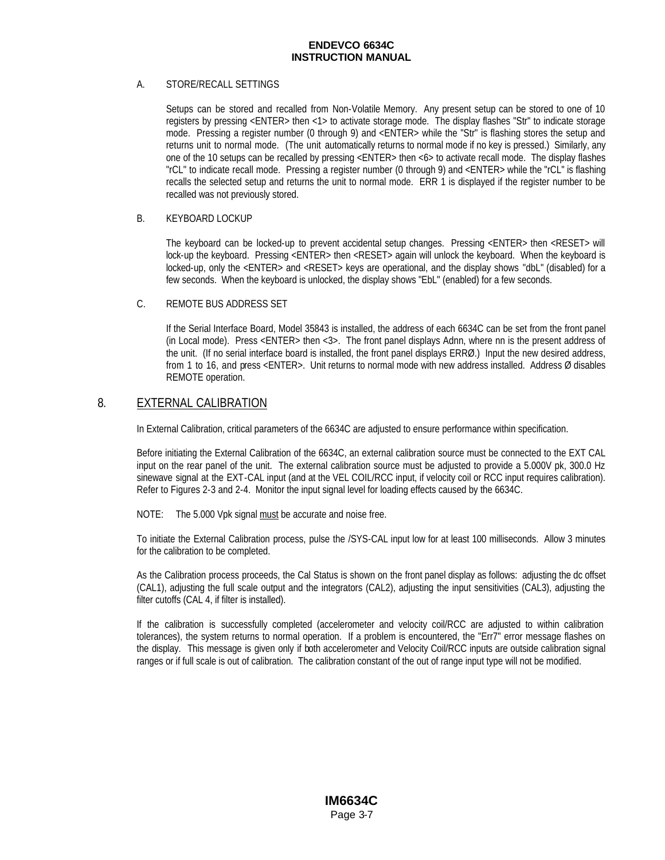### A. STORE/RECALL SETTINGS

Setups can be stored and recalled from Non-Volatile Memory. Any present setup can be stored to one of 10 registers by pressing <ENTER> then <1> to activate storage mode. The display flashes "Str" to indicate storage mode. Pressing a register number (0 through 9) and <ENTER> while the "Str" is flashing stores the setup and returns unit to normal mode. (The unit automatically returns to normal mode if no key is pressed.) Similarly, any one of the 10 setups can be recalled by pressing <ENTER> then <6> to activate recall mode. The display flashes "rCL" to indicate recall mode. Pressing a register number (0 through 9) and <ENTER> while the "rCL" is flashing recalls the selected setup and returns the unit to normal mode. ERR 1 is displayed if the register number to be recalled was not previously stored.

#### B. KEYBOARD LOCKUP

The keyboard can be locked-up to prevent accidental setup changes. Pressing <ENTER> then <RESET> will lock-up the keyboard. Pressing <ENTER> then <RESET> again will unlock the keyboard. When the keyboard is locked-up, only the <ENTER> and <RESET> keys are operational, and the display shows "dbL" (disabled) for a few seconds. When the keyboard is unlocked, the display shows "EbL" (enabled) for a few seconds.

#### C. REMOTE BUS ADDRESS SET

If the Serial Interface Board, Model 35843 is installed, the address of each 6634C can be set from the front panel (in Local mode). Press <ENTER> then <3>. The front panel displays Adnn, where nn is the present address of the unit. (If no serial interface board is installed, the front panel displays ERRØ.) Input the new desired address, from 1 to 16, and press <ENTER>. Unit returns to normal mode with new address installed. Address Ø disables REMOTE operation.

### 8. EXTERNAL CALIBRATION

In External Calibration, critical parameters of the 6634C are adjusted to ensure performance within specification.

Before initiating the External Calibration of the 6634C, an external calibration source must be connected to the EXT CAL input on the rear panel of the unit. The external calibration source must be adjusted to provide a 5.000V pk, 300.0 Hz sinewave signal at the EXT-CAL input (and at the VEL COIL/RCC input, if velocity coil or RCC input requires calibration). Refer to Figures 2-3 and 2-4. Monitor the input signal level for loading effects caused by the 6634C.

NOTE: The 5.000 Vpk signal must be accurate and noise free.

To initiate the External Calibration process, pulse the /SYS-CAL input low for at least 100 milliseconds. Allow 3 minutes for the calibration to be completed.

As the Calibration process proceeds, the Cal Status is shown on the front panel display as follows: adjusting the dc offset (CAL1), adjusting the full scale output and the integrators (CAL2), adjusting the input sensitivities (CAL3), adjusting the filter cutoffs (CAL 4, if filter is installed).

If the calibration is successfully completed (accelerometer and velocity coil/RCC are adjusted to within calibration tolerances), the system returns to normal operation. If a problem is encountered, the "Err7" error message flashes on the display. This message is given only if both accelerometer and Velocity Coil/RCC inputs are outside calibration signal ranges or if full scale is out of calibration. The calibration constant of the out of range input type will not be modified.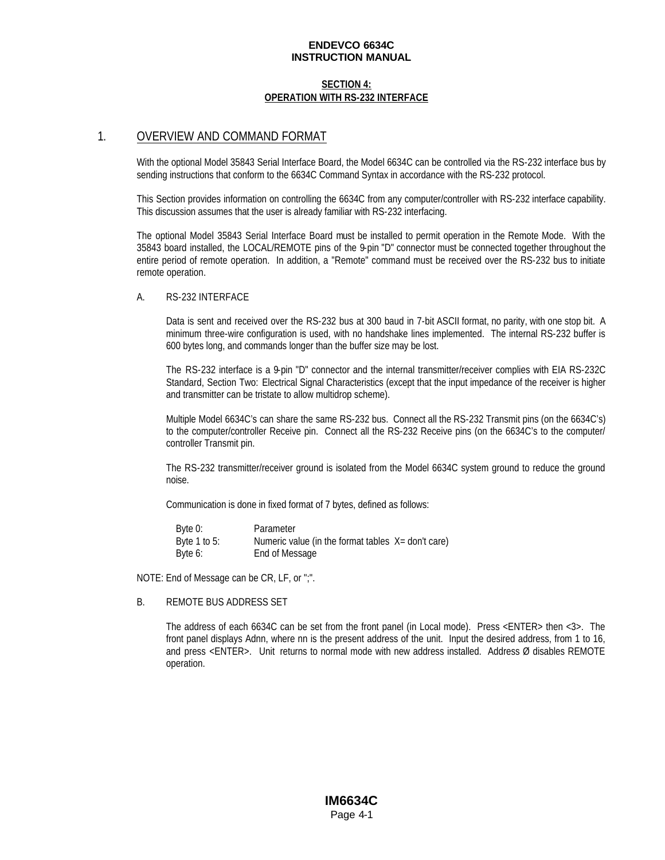### **SECTION 4: OPERATION WITH RS-232 INTERFACE**

### 1. OVERVIEW AND COMMAND FORMAT

With the optional Model 35843 Serial Interface Board, the Model 6634C can be controlled via the RS-232 interface bus by sending instructions that conform to the 6634C Command Syntax in accordance with the RS-232 protocol.

This Section provides information on controlling the 6634C from any computer/controller with RS-232 interface capability. This discussion assumes that the user is already familiar with RS-232 interfacing.

The optional Model 35843 Serial Interface Board must be installed to permit operation in the Remote Mode. With the 35843 board installed, the LOCAL/REMOTE pins of the 9-pin "D" connector must be connected together throughout the entire period of remote operation. In addition, a "Remote" command must be received over the RS-232 bus to initiate remote operation.

#### A. RS-232 INTERFACE

Data is sent and received over the RS-232 bus at 300 baud in 7-bit ASCII format, no parity, with one stop bit. A minimum three-wire configuration is used, with no handshake lines implemented. The internal RS-232 buffer is 600 bytes long, and commands longer than the buffer size may be lost.

The RS-232 interface is a 9-pin "D" connector and the internal transmitter/receiver complies with EIA RS-232C Standard, Section Two: Electrical Signal Characteristics (except that the input impedance of the receiver is higher and transmitter can be tristate to allow multidrop scheme).

Multiple Model 6634C's can share the same RS-232 bus. Connect all the RS-232 Transmit pins (on the 6634C's) to the computer/controller Receive pin. Connect all the RS-232 Receive pins (on the 6634C's to the computer/ controller Transmit pin.

The RS-232 transmitter/receiver ground is isolated from the Model 6634C system ground to reduce the ground noise.

Communication is done in fixed format of 7 bytes, defined as follows:

| Byte 0:      | Parameter                                          |  |
|--------------|----------------------------------------------------|--|
| Byte 1 to 5: | Numeric value (in the format tables X= don't care) |  |
| Byte 6:      | End of Message                                     |  |

NOTE: End of Message can be CR, LF, or ";".

#### B. REMOTE BUS ADDRESS SET

The address of each 6634C can be set from the front panel (in Local mode). Press <ENTER> then <3>. The front panel displays Adnn, where nn is the present address of the unit. Input the desired address, from 1 to 16, and press <ENTER>. Unit returns to normal mode with new address installed. Address Ø disables REMOTE operation.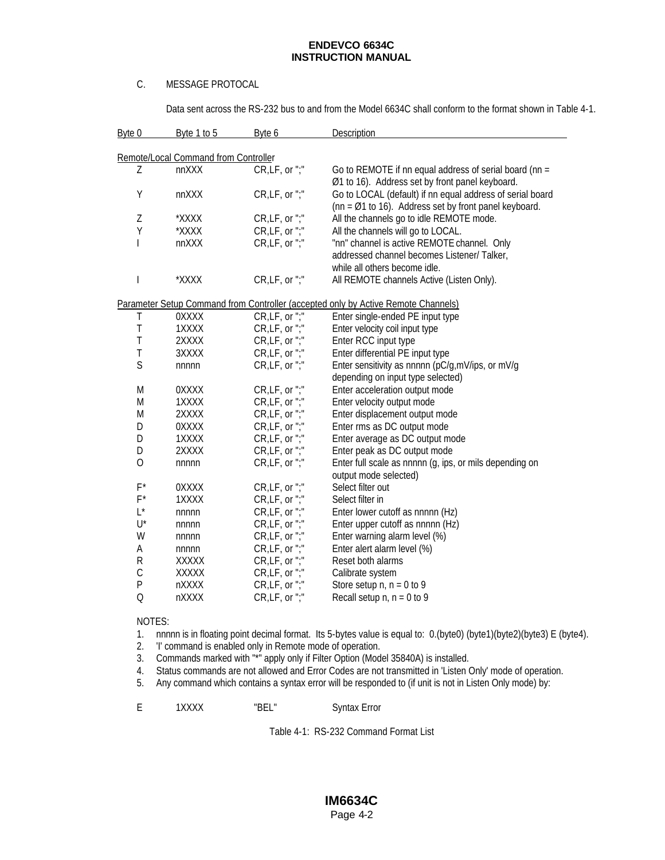### C. MESSAGE PROTOCAL

Data sent across the RS-232 bus to and from the Model 6634C shall conform to the format shown in Table 4-1.

| Byte 0      | Byte 1 to 5                          | Byte 6          | <b>Description</b>                                                                |
|-------------|--------------------------------------|-----------------|-----------------------------------------------------------------------------------|
|             | Remote/Local Command from Controller |                 |                                                                                   |
| Ζ           | nnXXX                                | CR, LF, or ";"  | Go to REMOTE if nn equal address of serial board (nn =                            |
|             |                                      |                 | Ø1 to 16). Address set by front panel keyboard.                                   |
| Υ           | nnXXX                                | CR,LF, or ";"   | Go to LOCAL (default) if nn equal address of serial board                         |
|             |                                      |                 | ( $nn = \emptyset$ 1 to 16). Address set by front panel keyboard.                 |
| Z           | *XXXX                                | CR,LF, or ";"   | All the channels go to idle REMOTE mode.                                          |
| Υ           | *XXXX                                | CR,LF, or ";"   | All the channels will go to LOCAL.                                                |
| T           | nnXXX                                | CR,LF, or ";"   | "nn" channel is active REMOTE channel. Only                                       |
|             |                                      |                 | addressed channel becomes Listener/ Talker,                                       |
|             |                                      |                 | while all others become idle.                                                     |
|             | *XXXX                                | CR,LF, or ";"   | All REMOTE channels Active (Listen Only).                                         |
|             |                                      |                 | Parameter Setup Command from Controller (accepted only by Active Remote Channels) |
| Τ           | 0XXXX                                | CR,LF, or ";"   | Enter single-ended PE input type                                                  |
| T           | 1XXXX                                | CR, LF, or ";"  | Enter velocity coil input type                                                    |
| T           | 2XXXX                                | CR,LF, or ";"   | Enter RCC input type                                                              |
| T           | 3XXXX                                | CR,LF, or ";"   | Enter differential PE input type                                                  |
| S           | nnnnn                                | CR,LF, or ";"   | Enter sensitivity as nnnnn (pC/g,mV/ips, or mV/g                                  |
|             |                                      |                 | depending on input type selected)                                                 |
| M           | 0XXXX                                | CR, LF, or "; " | Enter acceleration output mode                                                    |
| M           | 1XXXX                                | CR,LF, or ";"   | Enter velocity output mode                                                        |
| M           | 2XXXX                                | CR,LF, or ";"   | Enter displacement output mode                                                    |
| D           | 0XXXX                                | CR, LF, or ";"  | Enter rms as DC output mode                                                       |
| D           | 1XXXX                                | CR,LF, or ";"   | Enter average as DC output mode                                                   |
| D           | 2XXXX                                | CR, LF, or ";"  | Enter peak as DC output mode                                                      |
| $\mathsf O$ | nnnnn                                | CR, LF, or ";"  | Enter full scale as nnnnn (g, ips, or mils depending on                           |
|             |                                      |                 | output mode selected)                                                             |
| $F^*$       | 0XXXX                                | CR, LF, or ";"  | Select filter out                                                                 |
| $F^*$       | 1XXXX                                | CR,LF, or ";"   | Select filter in                                                                  |
| $L^*$       | nnnnn                                | CR,LF, or ";"   | Enter lower cutoff as nnnnn (Hz)                                                  |
| U*          | nnnnn                                | CR,LF, or ";"   | Enter upper cutoff as nnnnn (Hz)                                                  |
| W           | nnnnn                                | CR,LF, or ";"   | Enter warning alarm level (%)                                                     |
| Α           | nnnnn                                | CR, LF, or ";"  | Enter alert alarm level (%)                                                       |
| R           | XXXXX                                | CR,LF, or ";"   | Reset both alarms                                                                 |
| $\mathsf C$ | XXXXX                                | CR,LF, or ";"   | Calibrate system                                                                  |
| P           | nXXXX                                | CR, LF, or ";"  | Store setup $n, n = 0$ to 9                                                       |
| $\Omega$    | nXXXX                                | CR, LF, or ";"  | Recall setup $n, n = 0$ to 9                                                      |

### NOTES:

1. nnnnn is in floating point decimal format. Its 5-bytes value is equal to: 0.(byte0) (byte1)(byte2)(byte3) E (byte4).

2. 'I' command is enabled only in Remote mode of operation.

- 3. Commands marked with "\*" apply only if Filter Option (Model 35840A) is installed.
- 4. Status commands are not allowed and Error Codes are not transmitted in 'Listen Only' mode of operation.
- 5. Any command which contains a syntax error will be responded to (if unit is not in Listen Only mode) by:

| 1XXXX | "BFI" | <b>Syntax Error</b> |
|-------|-------|---------------------|
|       |       |                     |

Table 4-1: RS-232 Command Format List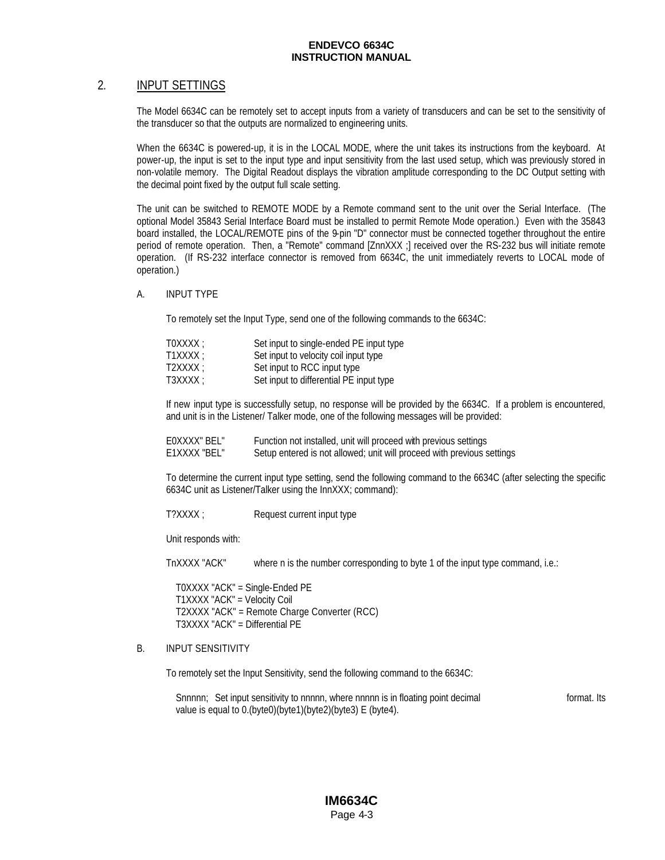### 2. INPUT SETTINGS

The Model 6634C can be remotely set to accept inputs from a variety of transducers and can be set to the sensitivity of the transducer so that the outputs are normalized to engineering units.

When the 6634C is powered-up, it is in the LOCAL MODE, where the unit takes its instructions from the keyboard. At power-up, the input is set to the input type and input sensitivity from the last used setup, which was previously stored in non-volatile memory. The Digital Readout displays the vibration amplitude corresponding to the DC Output setting with the decimal point fixed by the output full scale setting.

The unit can be switched to REMOTE MODE by a Remote command sent to the unit over the Serial Interface. (The optional Model 35843 Serial Interface Board must be installed to permit Remote Mode operation.) Even with the 35843 board installed, the LOCAL/REMOTE pins of the 9-pin "D" connector must be connected together throughout the entire period of remote operation. Then, a "Remote" command [ZnnXXX ;] received over the RS-232 bus will initiate remote operation. (If RS-232 interface connector is removed from 6634C, the unit immediately reverts to LOCAL mode of operation.)

### A. INPUT TYPE

To remotely set the Input Type, send one of the following commands to the 6634C:

| TOXXXX : | Set input to single-ended PE input type |
|----------|-----------------------------------------|
| T1XXXX:  | Set input to velocity coil input type   |
| T2XXXX:  | Set input to RCC input type             |
| T3XXXX : | Set input to differential PE input type |

If new input type is successfully setup, no response will be provided by the 6634C. If a problem is encountered, and unit is in the Listener/ Talker mode, one of the following messages will be provided:

| EOXXXX" BEL" | Function not installed, unit will proceed with previous settings       |
|--------------|------------------------------------------------------------------------|
| E1XXXX "BEL" | Setup entered is not allowed; unit will proceed with previous settings |

To determine the current input type setting, send the following command to the 6634C (after selecting the specific 6634C unit as Listener/Talker using the InnXXX; command):

T?XXXX ; Request current input type

Unit responds with:

TnXXXX "ACK" where n is the number corresponding to byte 1 of the input type command, i.e.:

T0XXXX "ACK" = Single-Ended PE T1XXXX "ACK" = Velocity Coil T2XXXX "ACK" = Remote Charge Converter (RCC) T3XXXX "ACK" = Differential PE

### B. INPUT SENSITIVITY

To remotely set the Input Sensitivity, send the following command to the 6634C:

Snnnnn; Set input sensitivity to nnnnn, where nnnnn is in floating point decimal format. Its value is equal to 0.(byte0)(byte1)(byte2)(byte3) E (byte4).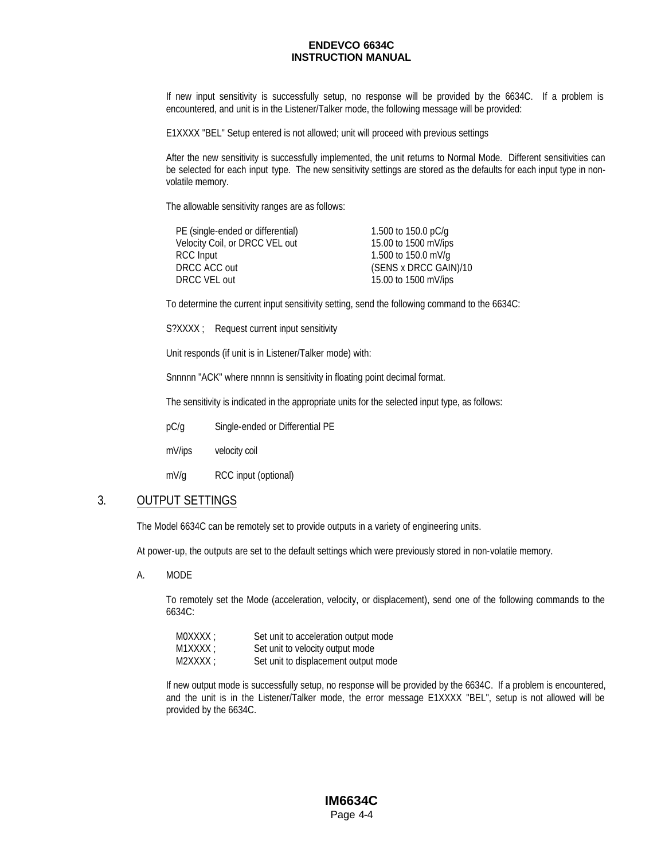If new input sensitivity is successfully setup, no response will be provided by the 6634C. If a problem is encountered, and unit is in the Listener/Talker mode, the following message will be provided:

E1XXXX "BEL" Setup entered is not allowed; unit will proceed with previous settings

After the new sensitivity is successfully implemented, the unit returns to Normal Mode. Different sensitivities can be selected for each input type. The new sensitivity settings are stored as the defaults for each input type in nonvolatile memory.

The allowable sensitivity ranges are as follows:

| PE (single-ended or differential) | 1.500 to 150.0 pC/g   |
|-----------------------------------|-----------------------|
| Velocity Coil, or DRCC VEL out    | 15.00 to 1500 mV/ips  |
| RCC Input                         | 1.500 to 150.0 mV/g   |
| DRCC ACC out                      | (SENS x DRCC GAIN)/10 |
| DRCC VEL out                      | 15.00 to 1500 mV/ips  |
|                                   |                       |

To determine the current input sensitivity setting, send the following command to the 6634C:

S?XXXX ; Request current input sensitivity

Unit responds (if unit is in Listener/Talker mode) with:

Snnnnn "ACK" where nnnnn is sensitivity in floating point decimal format.

The sensitivity is indicated in the appropriate units for the selected input type, as follows:

pC/g Single-ended or Differential PE

mV/ips velocity coil

mV/g RCC input (optional)

### 3. OUTPUT SETTINGS

The Model 6634C can be remotely set to provide outputs in a variety of engineering units.

At power-up, the outputs are set to the default settings which were previously stored in non-volatile memory.

A. MODE

To remotely set the Mode (acceleration, velocity, or displacement), send one of the following commands to the 6634C:

| MOXXXX : | Set unit to acceleration output mode |
|----------|--------------------------------------|
| M1XXXX : | Set unit to velocity output mode     |
| M2XXXX : | Set unit to displacement output mode |

If new output mode is successfully setup, no response will be provided by the 6634C. If a problem is encountered, and the unit is in the Listener/Talker mode, the error message E1XXXX "BEL", setup is not allowed will be provided by the 6634C.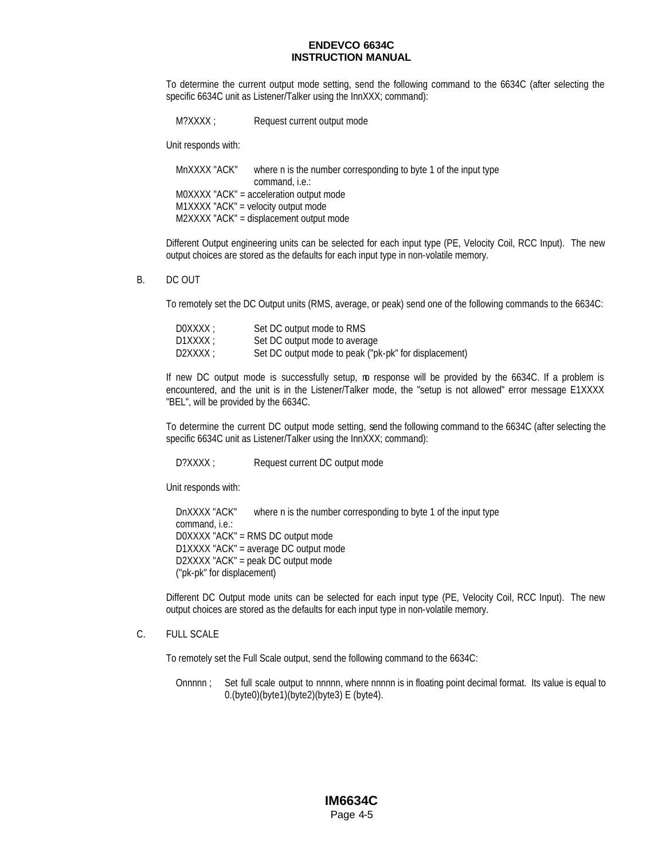To determine the current output mode setting, send the following command to the 6634C (after selecting the specific 6634C unit as Listener/Talker using the InnXXX; command):

M?XXXX ; Request current output mode

Unit responds with:

MnXXXX "ACK" where n is the number corresponding to byte 1 of the input type command, i.e.: M0XXXX "ACK" = acceleration output mode M1XXXX "ACK" = velocity output mode M2XXXX "ACK" = displacement output mode

Different Output engineering units can be selected for each input type (PE, Velocity Coil, RCC Input). The new output choices are stored as the defaults for each input type in non-volatile memory.

#### B. DC OUT

To remotely set the DC Output units (RMS, average, or peak) send one of the following commands to the 6634C:

| DOXXXX : | Set DC output mode to RMS                             |
|----------|-------------------------------------------------------|
| D1XXXX : | Set DC output mode to average                         |
| D2XXXX : | Set DC output mode to peak ("pk-pk" for displacement) |

If new DC output mode is successfully setup, mo response will be provided by the 6634C. If a problem is encountered, and the unit is in the Listener/Talker mode, the "setup is not allowed" error message E1XXXX "BEL", will be provided by the 6634C.

To determine the current DC output mode setting, send the following command to the 6634C (after selecting the specific 6634C unit as Listener/Talker using the InnXXX; command):

D?XXXX ; Request current DC output mode

Unit responds with:

DnXXXX "ACK" where n is the number corresponding to byte 1 of the input type command, i.e.: D0XXXX "ACK" = RMS DC output mode D1XXXX "ACK" = average DC output mode D2XXXX "ACK" = peak DC output mode ("pk-pk" for displacement)

Different DC Output mode units can be selected for each input type (PE, Velocity Coil, RCC Input). The new output choices are stored as the defaults for each input type in non-volatile memory.

#### C. FULL SCALE

To remotely set the Full Scale output, send the following command to the 6634C:

Onnnnn ; Set full scale output to nnnnn, where nnnnn is in floating point decimal format. Its value is equal to 0.(byte0)(byte1)(byte2)(byte3) E (byte4).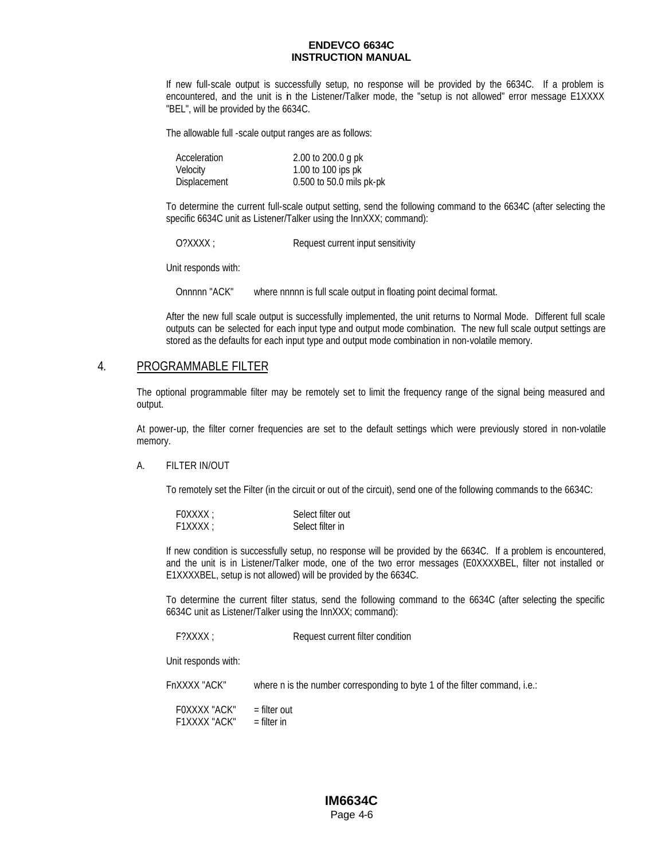If new full-scale output is successfully setup, no response will be provided by the 6634C. If a problem is encountered, and the unit is in the Listener/Talker mode, the "setup is not allowed" error message E1XXXX "BEL", will be provided by the 6634C.

The allowable full -scale output ranges are as follows:

| Acceleration | 2.00 to 200.0 g pk       |
|--------------|--------------------------|
| Velocity     | 1.00 to 100 ips pk       |
| Displacement | 0.500 to 50.0 mils pk-pk |

To determine the current full-scale output setting, send the following command to the 6634C (after selecting the specific 6634C unit as Listener/Talker using the InnXXX; command):

O?XXXX ; Request current input sensitivity

Unit responds with:

Onnnnn "ACK" where nnnnn is full scale output in floating point decimal format.

After the new full scale output is successfully implemented, the unit returns to Normal Mode. Different full scale outputs can be selected for each input type and output mode combination. The new full scale output settings are stored as the defaults for each input type and output mode combination in non-volatile memory.

### 4. PROGRAMMABLE FILTER

The optional programmable filter may be remotely set to limit the frequency range of the signal being measured and output.

At power-up, the filter corner frequencies are set to the default settings which were previously stored in non-volatile memory.

#### A. FILTER IN/OUT

To remotely set the Filter (in the circuit or out of the circuit), send one of the following commands to the 6634C:

| FOXXXX : | Select filter out |
|----------|-------------------|
| F1XXXX : | Select filter in  |

If new condition is successfully setup, no response will be provided by the 6634C. If a problem is encountered, and the unit is in Listener/Talker mode, one of the two error messages (E0XXXXBEL, filter not installed or E1XXXXBEL, setup is not allowed) will be provided by the 6634C.

To determine the current filter status, send the following command to the 6634C (after selecting the specific 6634C unit as Listener/Talker using the InnXXX; command):

F?XXXX ; Request current filter condition

Unit responds with:

FnXXXX "ACK" where n is the number corresponding to byte 1 of the filter command, i.e.:

F0XXXX "ACK" = filter out F1XXXX "ACK" = filter in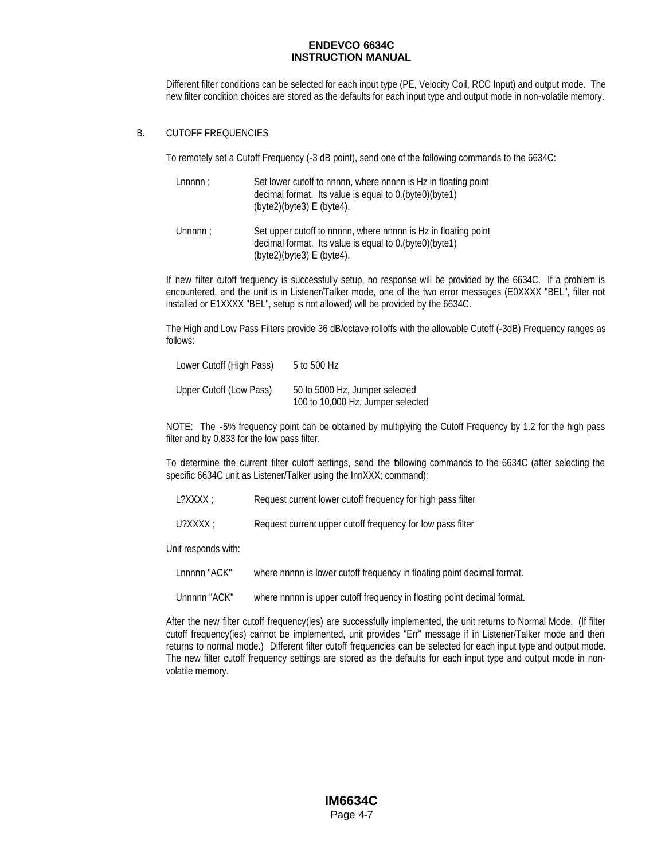Different filter conditions can be selected for each input type (PE, Velocity Coil, RCC Input) and output mode. The new filter condition choices are stored as the defaults for each input type and output mode in non-volatile memory.

### B. CUTOFF FREQUENCIES

To remotely set a Cutoff Frequency (-3 dB point), send one of the following commands to the 6634C:

| Lnnnnn: | Set lower cutoff to nnnnn, where nnnnn is Hz in floating point |
|---------|----------------------------------------------------------------|
|         | decimal format. Its value is equal to 0. (byte0) (byte1)       |
|         | (byte2)(byte3) E(byte4).                                       |
|         |                                                                |

Unnnnn; Set upper cutoff to nnnnn, where nnnnn is Hz in floating point decimal format. Its value is equal to 0.(byte0)(byte1) (byte2)(byte3) E (byte4).

If new filter cutoff frequency is successfully setup, no response will be provided by the 6634C. If a problem is encountered, and the unit is in Listener/Talker mode, one of the two error messages (E0XXXX "BEL", filter not installed or E1XXXX "BEL", setup is not allowed) will be provided by the 6634C.

The High and Low Pass Filters provide 36 dB/octave rolloffs with the allowable Cutoff (-3dB) Frequency ranges as follows:

| Lower Cutoff (High Pass) | 5 to 500 Hz                                                         |
|--------------------------|---------------------------------------------------------------------|
| Upper Cutoff (Low Pass)  | 50 to 5000 Hz, Jumper selected<br>100 to 10,000 Hz, Jumper selected |

NOTE: The -5% frequency point can be obtained by multiplying the Cutoff Frequency by 1.2 for the high pass filter and by 0.833 for the low pass filter.

To determine the current filter cutoff settings, send the following commands to the 6634C (after selecting the specific 6634C unit as Listener/Talker using the InnXXX; command):

L?XXXX ; Request current lower cutoff frequency for high pass filter

U?XXXX ; Request current upper cutoff frequency for low pass filter

Unit responds with:

Lnnnnn "ACK" where nnnnn is lower cutoff frequency in floating point decimal format.

Unnnnn "ACK" where nnnnn is upper cutoff frequency in floating point decimal format.

After the new filter cutoff frequency(ies) are successfully implemented, the unit returns to Normal Mode. (If filter cutoff frequency(ies) cannot be implemented, unit provides "Err" message if in Listener/Talker mode and then returns to normal mode.) Different filter cutoff frequencies can be selected for each input type and output mode. The new filter cutoff frequency settings are stored as the defaults for each input type and output mode in nonvolatile memory.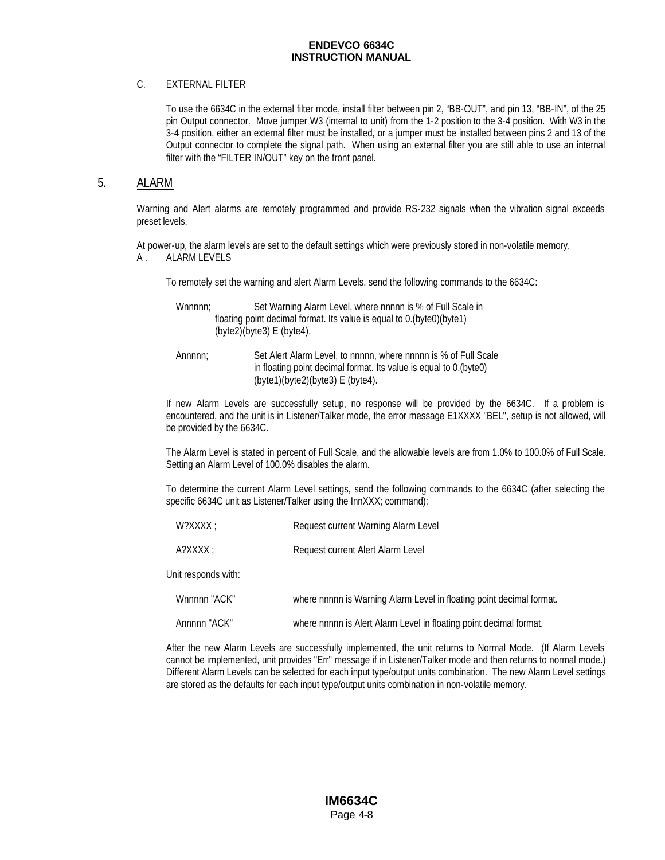### C. EXTERNAL FILTER

To use the 6634C in the external filter mode, install filter between pin 2, "BB-OUT", and pin 13, "BB-IN", of the 25 pin Output connector. Move jumper W3 (internal to unit) from the 1-2 position to the 3-4 position. With W3 in the 3-4 position, either an external filter must be installed, or a jumper must be installed between pins 2 and 13 of the Output connector to complete the signal path. When using an external filter you are still able to use an internal filter with the "FILTER IN/OUT" key on the front panel.

### 5. ALARM

Warning and Alert alarms are remotely programmed and provide RS-232 signals when the vibration signal exceeds preset levels.

At power-up, the alarm levels are set to the default settings which were previously stored in non-volatile memory. A . ALARM LEVELS

To remotely set the warning and alert Alarm Levels, send the following commands to the 6634C:

Whnnnn: Set Warning Alarm Level, where nnnnn is % of Full Scale in floating point decimal format. Its value is equal to 0.(byte0)(byte1) (byte2)(byte3) E (byte4).

Annnnn; Set Alert Alarm Level, to nnnnn, where nnnnn is % of Full Scale in floating point decimal format. Its value is equal to 0.(byte0) (byte1)(byte2)(byte3) E (byte4).

If new Alarm Levels are successfully setup, no response will be provided by the 6634C. If a problem is encountered, and the unit is in Listener/Talker mode, the error message E1XXXX "BEL", setup is not allowed, will be provided by the 6634C.

The Alarm Level is stated in percent of Full Scale, and the allowable levels are from 1.0% to 100.0% of Full Scale. Setting an Alarm Level of 100.0% disables the alarm.

To determine the current Alarm Level settings, send the following commands to the 6634C (after selecting the specific 6634C unit as Listener/Talker using the InnXXX; command):

| A?XXX: | Request current Alert Alarm Level |
|--------|-----------------------------------|
|        |                                   |

Unit responds with:

| Wnnnnn "ACK" | where nnnnn is Warning Alarm Level in floating point decimal format. |
|--------------|----------------------------------------------------------------------|
| Annnnn "ACK" | where nnnnn is Alert Alarm Level in floating point decimal format.   |

After the new Alarm Levels are successfully implemented, the unit returns to Normal Mode. (If Alarm Levels cannot be implemented, unit provides "Err" message if in Listener/Talker mode and then returns to normal mode.) Different Alarm Levels can be selected for each input type/output units combination. The new Alarm Level settings are stored as the defaults for each input type/output units combination in non-volatile memory.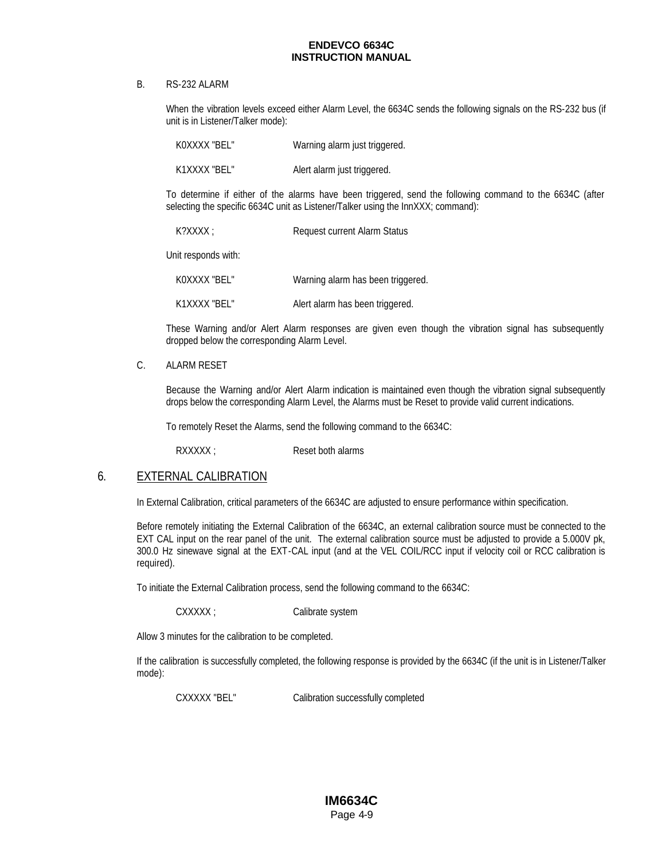#### B. RS-232 ALARM

When the vibration levels exceed either Alarm Level, the 6634C sends the following signals on the RS-232 bus (if unit is in Listener/Talker mode):

| KOXXXX "BEL" | Warning alarm just triggered. |
|--------------|-------------------------------|
| K1XXXX "BEL" | Alert alarm just triggered.   |

To determine if either of the alarms have been triggered, send the following command to the 6634C (after selecting the specific 6634C unit as Listener/Talker using the InnXXX; command):

| K?XXXX : | Request current Alarm Status |
|----------|------------------------------|
|          |                              |

Unit responds with:

K0XXXX "BEL" Warning alarm has been triggered.

K1XXXX "BEL" Alert alarm has been triggered.

These Warning and/or Alert Alarm responses are given even though the vibration signal has subsequently dropped below the corresponding Alarm Level.

### C. ALARM RESET

Because the Warning and/or Alert Alarm indication is maintained even though the vibration signal subsequently drops below the corresponding Alarm Level, the Alarms must be Reset to provide valid current indications.

To remotely Reset the Alarms, send the following command to the 6634C:

RXXXX ; RXXXX ; Reset both alarms

### 6. EXTERNAL CALIBRATION

In External Calibration, critical parameters of the 6634C are adjusted to ensure performance within specification.

Before remotely initiating the External Calibration of the 6634C, an external calibration source must be connected to the EXT CAL input on the rear panel of the unit. The external calibration source must be adjusted to provide a 5.000V pk, 300.0 Hz sinewave signal at the EXT-CAL input (and at the VEL COIL/RCC input if velocity coil or RCC calibration is required).

To initiate the External Calibration process, send the following command to the 6634C:

CXXXXX; CALIDRATE System

Allow 3 minutes for the calibration to be completed.

If the calibration is successfully completed, the following response is provided by the 6634C (if the unit is in Listener/Talker mode):

CXXXXX "BEL" Calibration successfully completed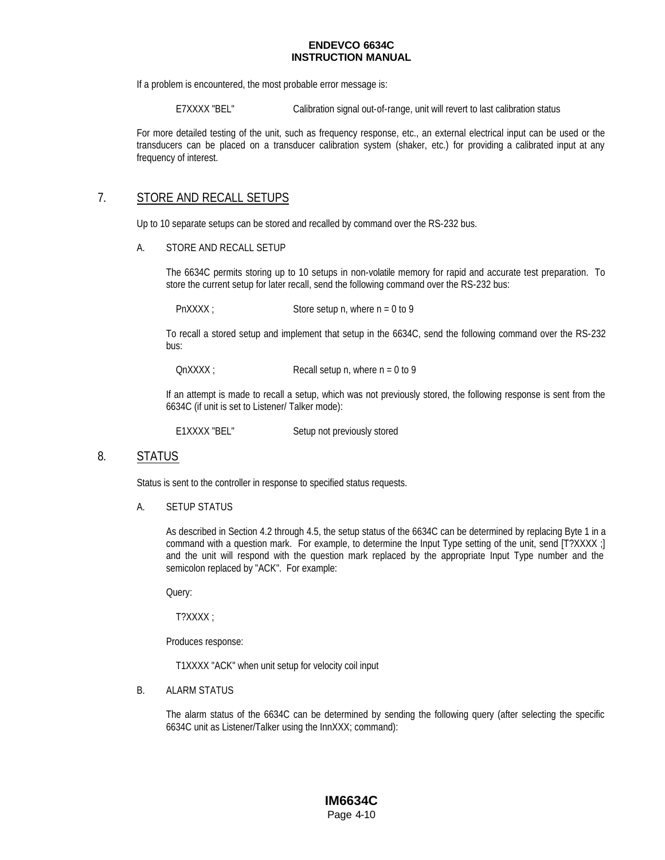If a problem is encountered, the most probable error message is:

E7XXXX "BEL" Calibration signal out-of-range, unit will revert to last calibration status

For more detailed testing of the unit, such as frequency response, etc., an external electrical input can be used or the transducers can be placed on a transducer calibration system (shaker, etc.) for providing a calibrated input at any frequency of interest.

### 7. STORE AND RECALL SETUPS

Up to 10 separate setups can be stored and recalled by command over the RS-232 bus.

#### A. STORE AND RECALL SETUP

The 6634C permits storing up to 10 setups in non-volatile memory for rapid and accurate test preparation. To store the current setup for later recall, send the following command over the RS-232 bus:

 $PnXXX$ ; Store setup n, where  $n = 0$  to 9

To recall a stored setup and implement that setup in the 6634C, send the following command over the RS-232 bus:

 $\text{OnXXX}$  ; Recall setup n, where  $n = 0$  to 9

If an attempt is made to recall a setup, which was not previously stored, the following response is sent from the 6634C (if unit is set to Listener/ Talker mode):

E1XXXX "BEL" Setup not previously stored

### 8. STATUS

Status is sent to the controller in response to specified status requests.

#### A. SETUP STATUS

As described in Section 4.2 through 4.5, the setup status of the 6634C can be determined by replacing Byte 1 in a command with a question mark. For example, to determine the Input Type setting of the unit, send [T?XXXX ;] and the unit will respond with the question mark replaced by the appropriate Input Type number and the semicolon replaced by "ACK". For example:

Query:

T?XXXX ;

Produces response:

T1XXXX "ACK" when unit setup for velocity coil input

#### B. ALARM STATUS

The alarm status of the 6634C can be determined by sending the following query (after selecting the specific 6634C unit as Listener/Talker using the InnXXX; command):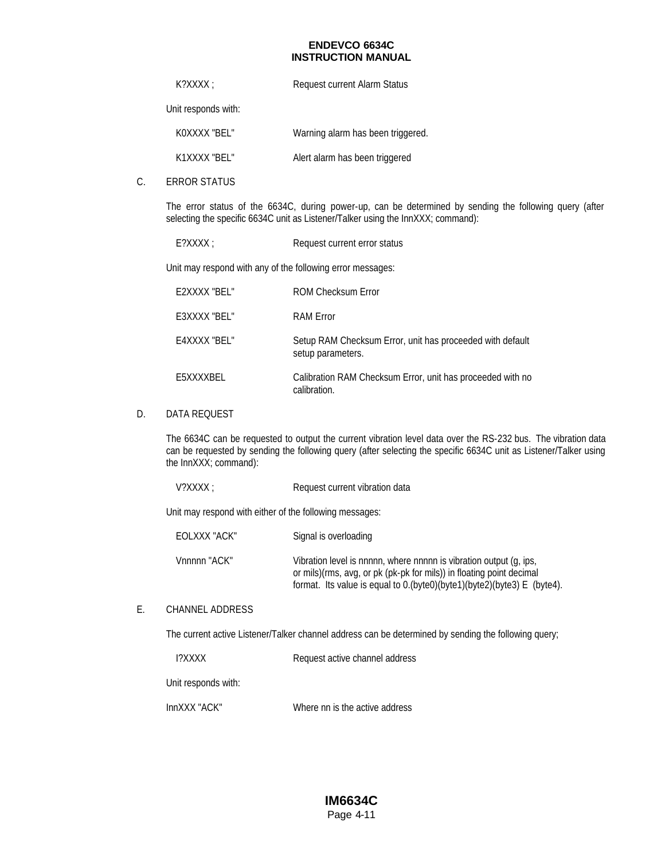| $K?XXX$ :<br><b>Request current Alarm Status</b> |
|--------------------------------------------------|
|--------------------------------------------------|

Unit responds with:

| KOXXXX "BEL" | Warning alarm has been triggered. |
|--------------|-----------------------------------|
| K1XXXX "BEL" | Alert alarm has been triggered    |

C. ERROR STATUS

The error status of the 6634C, during power-up, can be determined by sending the following query (after selecting the specific 6634C unit as Listener/Talker using the InnXXX; command):

E?XXXX ; Request current error status

Unit may respond with any of the following error messages:

| F2XXXX "BFI " | <b>ROM Checksum Error</b>                                                      |
|---------------|--------------------------------------------------------------------------------|
| E3XXXX "BEL"  | <b>RAM Error</b>                                                               |
| E4XXXX "BEL"  | Setup RAM Checksum Error, unit has proceeded with default<br>setup parameters. |
| E5XXXXBEL     | Calibration RAM Checksum Error, unit has proceeded with no<br>calibration.     |

### D. DATA REQUEST

The 6634C can be requested to output the current vibration level data over the RS-232 bus. The vibration data can be requested by sending the following query (after selecting the specific 6634C unit as Listener/Talker using the InnXXX; command):

Unit may respond with either of the following messages:

| EOLXXX "ACK" | Signal is overloading                                                                                                                                                                                                 |
|--------------|-----------------------------------------------------------------------------------------------------------------------------------------------------------------------------------------------------------------------|
| Vnnnnn "ACK" | Vibration level is nnnnn, where nnnnn is vibration output (q, ips,<br>or mils)(rms, avg, or pk (pk-pk for mils)) in floating point decimal<br>format. Its value is equal to 0.(byte0)(byte1)(byte2)(byte3) E (byte4). |

### E. CHANNEL ADDRESS

The current active Listener/Talker channel address can be determined by sending the following query;

Unit responds with: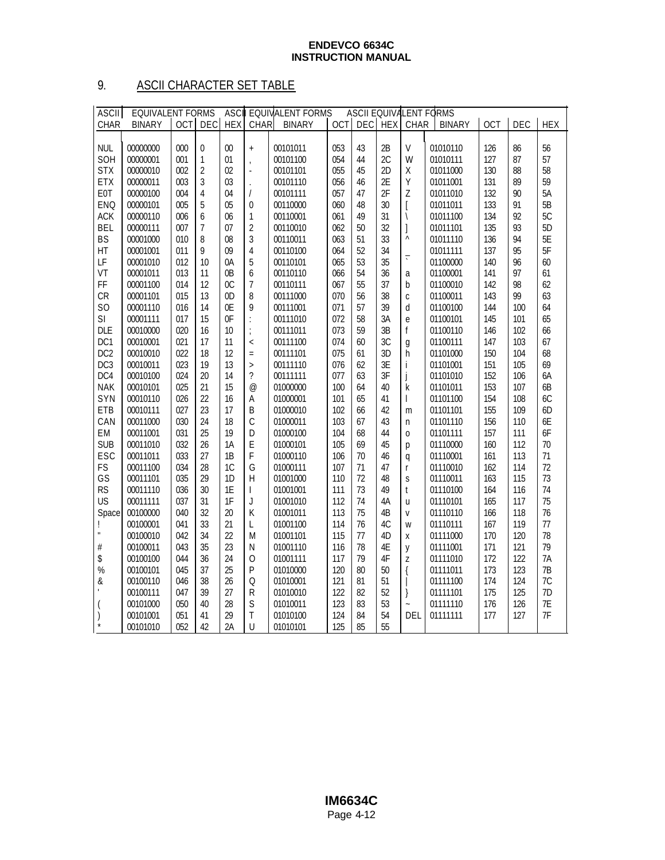# 9. ASCII CHARACTER SET TABLE

| <b>ASCII</b>    | <b>EQUIVALENT FORMS</b> |            |                  | <b>ASCI</b>    |                          | <b>EQUIVALENT FORMS</b> |            |            |            |                                | <b>ASCII EQUIVALENT FORMS</b> |            |     |            |
|-----------------|-------------------------|------------|------------------|----------------|--------------------------|-------------------------|------------|------------|------------|--------------------------------|-------------------------------|------------|-----|------------|
| CHAR            | <b>BINARY</b>           | <b>OCT</b> | <b>DEC</b>       | <b>HEX</b>     | CHAR                     | <b>BINARY</b>           | <b>OCT</b> | <b>DEC</b> | <b>HEX</b> | CHAR                           | <b>BINARY</b>                 | <b>OCT</b> | DEC | <b>HEX</b> |
|                 |                         |            |                  |                |                          |                         |            |            |            |                                |                               |            |     |            |
| <b>NUL</b>      | 00000000                | 000        | $\boldsymbol{0}$ | $00\,$         | $\ddot{}$                | 00101011                | 053        | 43         | 2B         | $\vee$                         | 01010110                      | 126        | 86  | 56         |
| SOH             | 00000001                | 001        | $\mathbf{1}$     | 01             | $\overline{1}$           | 00101100                | 054        | 44         | 2C         | W                              | 01010111                      | 127        | 87  | 57         |
| <b>STX</b>      | 00000010                | 002        | $\overline{2}$   | 02             | ÷,                       | 00101101                | 055        | 45         | 2D         | Χ                              | 01011000                      | 130        | 88  | 58         |
| <b>ETX</b>      | 00000011                | 003        | 3                | 03             | $\ddot{\phantom{a}}$     | 00101110                | 056        | 46         | 2E         | Y                              | 01011001                      | 131        | 89  | 59         |
| E0T             | 00000100                | 004        | 4                | 04             | $\sqrt{2}$               | 00101111                | 057        | 47         | 2F         | Z                              | 01011010                      | 132        | 90  | 5A         |
| ENQ             | 00000101                | 005        | 5                | 05             | $\boldsymbol{0}$         | 00110000                | 060        | 48         | 30         | ĺ                              | 01011011                      | 133        | 91  | 5B         |
| <b>ACK</b>      | 00000110                | 006        | 6                | 06             | $\mathbf 1$              | 00110001                | 061        | 49         | 31         | \                              | 01011100                      | 134        | 92  | 5C         |
| <b>BEL</b>      | 00000111                | 007        | 7                | 07             | $\overline{2}$           | 00110010                | 062        | 50         | 32         | $\begin{array}{c} \end{array}$ | 01011101                      | 135        | 93  | 5D         |
| <b>BS</b>       | 00001000                | 010        | 8                | 08             | $\mathfrak{Z}$           | 00110011                | 063        | 51         | 33         | $\boldsymbol{\wedge}$          | 01011110                      | 136        | 94  | 5E         |
| HT              | 00001001                | 011        | 9                | 09             | $\sqrt{4}$               | 00110100                | 064        | 52         | 34         |                                | 01011111                      | 137        | 95  | 5F         |
| LF              | 00001010                | 012        | 10               | 0A             | 5                        | 00110101                | 065        | 53         | 35         | $\overline{\cdot}$             | 01100000                      | 140        | 96  | 60         |
| VT              | 00001011                | 013        | 11               | 0B             | 6                        | 00110110                | 066        | 54         | 36         | a                              | 01100001                      | 141        | 97  | 61         |
| FF              | 00001100                | 014        | 12               | 0 <sup>C</sup> | $\overline{1}$           | 00110111                | 067        | 55         | 37         | b                              | 01100010                      | 142        | 98  | 62         |
| CR              | 00001101                | 015        | 13               | 0 <sub>D</sub> | 8                        | 00111000                | 070        | 56         | 38         | $\mathsf{C}$                   | 01100011                      | 143        | 99  | 63         |
| S <sub>O</sub>  | 00001110                | 016        | 14               | 0E             | 9                        | 00111001                | 071        | 57         | 39         | d                              | 01100100                      | 144        | 100 | 64         |
| SI              | 00001111                | 017        | 15               | 0F             |                          | 00111010                | 072        | 58         | 3A         |                                | 01100101                      | 145        | 101 | 65         |
| <b>DLE</b>      | 00010000                | 020        | 16               | 10             | $\vdots$                 | 00111011                | 073        | 59         | 3B         | $\mathbf{e}$<br>f              | 01100110                      |            | 102 | 66         |
|                 |                         |            |                  |                | $\frac{1}{\ell}$         |                         |            |            |            |                                |                               | 146        |     |            |
| DC <sub>1</sub> | 00010001                | 021        | 17               | 11             | $\overline{\phantom{a}}$ | 00111100                | 074        | 60         | 3C         | g                              | 01100111                      | 147        | 103 | 67         |
| DC <sub>2</sub> | 00010010                | 022        | 18               | 12             | $\equiv$                 | 00111101                | 075        | 61         | 3D         | h                              | 01101000                      | 150        | 104 | 68         |
| DC <sub>3</sub> | 00010011                | 023        | 19               | 13             | $\rightarrow$            | 00111110                | 076        | 62         | 3E         | i                              | 01101001                      | 151        | 105 | 69         |
| DC4             | 00010100                | 024        | 20               | 14             | $\overline{\phantom{a}}$ | 00111111                | 077        | 63         | 3F         | j                              | 01101010                      | 152        | 106 | 6A         |
| <b>NAK</b>      | 00010101                | 025        | 21               | 15             | $^{\circledR}$           | 01000000                | 100        | 64         | 40         | k                              | 01101011                      | 153        | 107 | 6B         |
| SYN             | 00010110                | 026        | 22               | 16             | $\sf A$                  | 01000001                | 101        | 65         | 41         | I                              | 01101100                      | 154        | 108 | 6C         |
| ETB             | 00010111                | 027        | 23               | 17             | B                        | 01000010                | 102        | 66         | 42         | m                              | 01101101                      | 155        | 109 | 6D         |
| CAN             | 00011000                | 030        | 24               | 18             | $\mathcal{C}$            | 01000011                | 103        | 67         | 43         | n                              | 01101110                      | 156        | 110 | 6E         |
| EM              | 00011001                | 031        | 25               | 19             | D                        | 01000100                | 104        | 68         | 44         | $\overline{0}$                 | 01101111                      | 157        | 111 | 6F         |
| <b>SUB</b>      | 00011010                | 032        | 26               | 1A             | E                        | 01000101                | 105        | 69         | 45         | p                              | 01110000                      | 160        | 112 | 70         |
| ESC             | 00011011                | 033        | 27               | 1B             | F                        | 01000110                | 106        | 70         | 46         | q                              | 01110001                      | 161        | 113 | 71         |
| FS              | 00011100                | 034        | 28               | 1C             | G                        | 01000111                | 107        | 71         | 47         | r                              | 01110010                      | 162        | 114 | 72         |
| GS              | 00011101                | 035        | 29               | 1D             | $\overline{H}$           | 01001000                | 110        | 72         | 48         | S                              | 01110011                      | 163        | 115 | 73         |
| <b>RS</b>       | 00011110                | 036        | 30               | 1E             | $\mathsf{I}$             | 01001001                | 111        | 73         | 49         | t                              | 01110100                      | 164        | 116 | 74         |
| <b>US</b>       | 00011111                | 037        | 31               | 1F             | J                        | 01001010                | 112        | 74         | 4A         | u                              | 01110101                      | 165        | 117 | 75         |
| Space           | 00100000                | 040        | 32               | 20             | K                        | 01001011                | 113        | 75         | 4B         | $\mathsf{V}$                   | 01110110                      | 166        | 118 | 76         |
| Ţ               | 00100001                | 041        | 33               | 21             | L                        | 01001100                | 114        | 76         | 4C         | W                              | 01110111                      | 167        | 119 | 77         |
| $\mathbf{u}$    | 00100010                | 042        | 34               | 22             | M                        | 01001101                | 115        | 77         | 4D         | Χ                              | 01111000                      | 170        | 120 | 78         |
| $\#$            | 00100011                | 043        | 35               | 23             | N                        | 01001110                | 116        | 78         | 4E         | y                              | 01111001                      | 171        | 121 | 79         |
| \$              | 00100100                | 044        | 36               | 24             | $\mathbf 0$              | 01001111                | 117        | 79         | 4F         | Z                              | 01111010                      | 172        | 122 | 7A         |
| %               | 00100101                | 045        | 37               | 25             | $\mathsf{P}$             | 01010000                | 120        | 80         | 50         | $\{$                           | 01111011                      | 173        | 123 | 7B         |
| &               | 00100110                | 046        | 38               | 26             | $\Omega$                 | 01010001                | 121        | 81         | 51         |                                | 01111100                      | 174        | 124 | 7C         |
|                 | 00100111                | 047        | 39               | 27             | R                        | 01010010                | 122        | 82         | 52         | }                              | 01111101                      | 175        | 125 | 7D         |
| (               | 00101000                | 050        | 40               | 28             | S                        | 01010011                | 123        | 83         | 53         | $\ddot{ }$                     | 01111110                      | 176        | 126 | 7E         |
|                 | 00101001                | 051        | 41               | 29             | T                        | 01010100                | 124        | 84         | 54         | DEL                            | 01111111                      | 177        | 127 | 7F         |
| $\star$         | 00101010                | 052        | 42               | 2A             | U                        | 01010101                | 125        | 85         | 55         |                                |                               |            |     |            |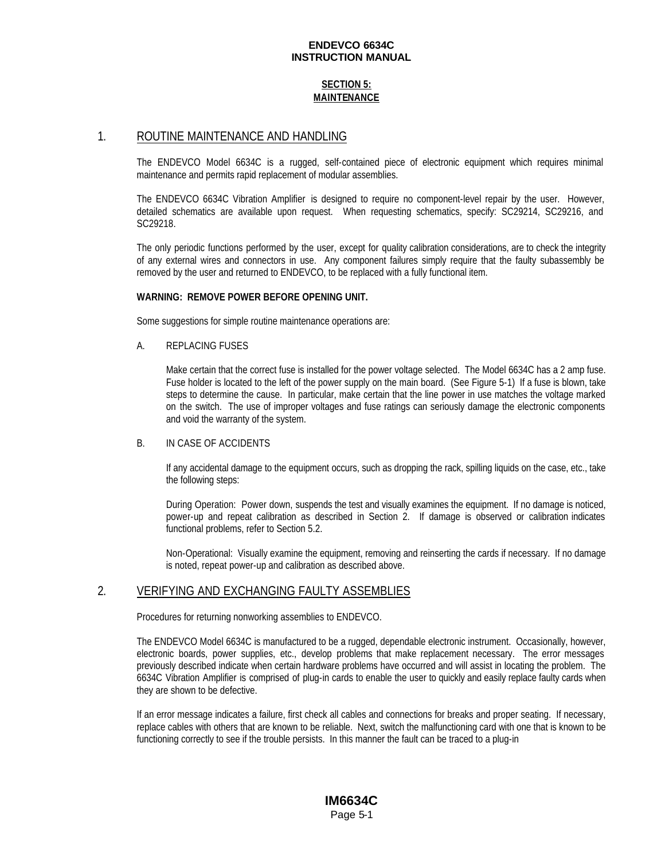### **SECTION 5: MAINTENANCE**

### 1. ROUTINE MAINTENANCE AND HANDLING

The ENDEVCO Model 6634C is a rugged, self-contained piece of electronic equipment which requires minimal maintenance and permits rapid replacement of modular assemblies.

The ENDEVCO 6634C Vibration Amplifier is designed to require no component-level repair by the user. However, detailed schematics are available upon request. When requesting schematics, specify: SC29214, SC29216, and SC29218.

The only periodic functions performed by the user, except for quality calibration considerations, are to check the integrity of any external wires and connectors in use. Any component failures simply require that the faulty subassembly be removed by the user and returned to ENDEVCO, to be replaced with a fully functional item.

#### **WARNING: REMOVE POWER BEFORE OPENING UNIT.**

Some suggestions for simple routine maintenance operations are:

A. REPLACING FUSES

Make certain that the correct fuse is installed for the power voltage selected. The Model 6634C has a 2 amp fuse. Fuse holder is located to the left of the power supply on the main board. (See Figure 5-1) If a fuse is blown, take steps to determine the cause. In particular, make certain that the line power in use matches the voltage marked on the switch. The use of improper voltages and fuse ratings can seriously damage the electronic components and void the warranty of the system.

### B. IN CASE OF ACCIDENTS

If any accidental damage to the equipment occurs, such as dropping the rack, spilling liquids on the case, etc., take the following steps:

During Operation: Power down, suspends the test and visually examines the equipment. If no damage is noticed, power-up and repeat calibration as described in Section 2. If damage is observed or calibration indicates functional problems, refer to Section 5.2.

Non-Operational: Visually examine the equipment, removing and reinserting the cards if necessary. If no damage is noted, repeat power-up and calibration as described above.

### 2. VERIFYING AND EXCHANGING FAULTY ASSEMBLIES

Procedures for returning nonworking assemblies to ENDEVCO.

The ENDEVCO Model 6634C is manufactured to be a rugged, dependable electronic instrument. Occasionally, however, electronic boards, power supplies, etc., develop problems that make replacement necessary. The error messages previously described indicate when certain hardware problems have occurred and will assist in locating the problem. The 6634C Vibration Amplifier is comprised of plug-in cards to enable the user to quickly and easily replace faulty cards when they are shown to be defective.

If an error message indicates a failure, first check all cables and connections for breaks and proper seating. If necessary, replace cables with others that are known to be reliable. Next, switch the malfunctioning card with one that is known to be functioning correctly to see if the trouble persists. In this manner the fault can be traced to a plug-in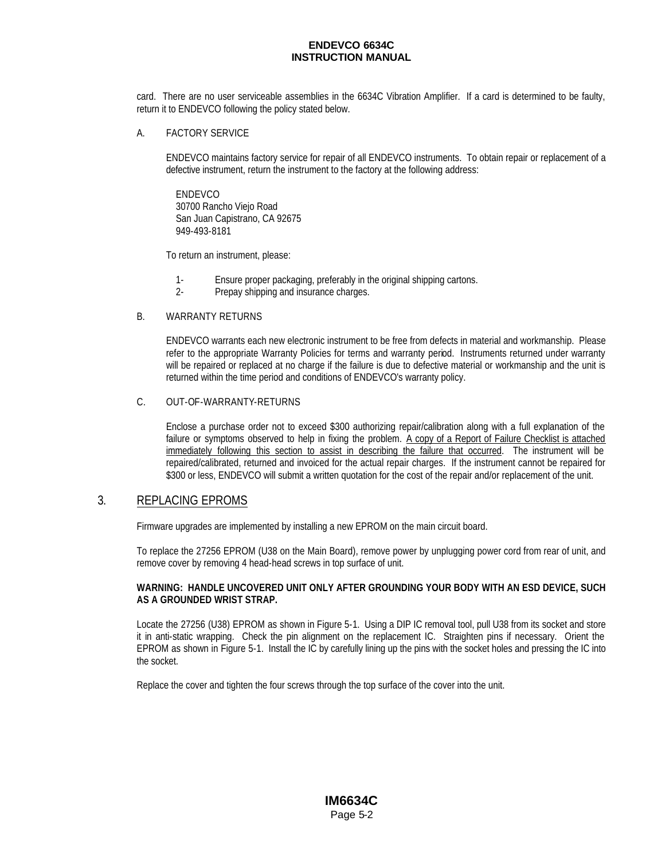card. There are no user serviceable assemblies in the 6634C Vibration Amplifier. If a card is determined to be faulty, return it to ENDEVCO following the policy stated below.

#### A. FACTORY SERVICE

ENDEVCO maintains factory service for repair of all ENDEVCO instruments. To obtain repair or replacement of a defective instrument, return the instrument to the factory at the following address:

ENDEVCO 30700 Rancho Viejo Road San Juan Capistrano, CA 92675 949-493-8181

To return an instrument, please:

- 1- Ensure proper packaging, preferably in the original shipping cartons.
- 2- Prepay shipping and insurance charges.

### B. WARRANTY RETURNS

ENDEVCO warrants each new electronic instrument to be free from defects in material and workmanship. Please refer to the appropriate Warranty Policies for terms and warranty period. Instruments returned under warranty will be repaired or replaced at no charge if the failure is due to defective material or workmanship and the unit is returned within the time period and conditions of ENDEVCO's warranty policy.

#### C. OUT-OF-WARRANTY-RETURNS

Enclose a purchase order not to exceed \$300 authorizing repair/calibration along with a full explanation of the failure or symptoms observed to help in fixing the problem. A copy of a Report of Failure Checklist is attached immediately following this section to assist in describing the failure that occurred. The instrument will be repaired/calibrated, returned and invoiced for the actual repair charges. If the instrument cannot be repaired for \$300 or less, ENDEVCO will submit a written quotation for the cost of the repair and/or replacement of the unit.

### 3. REPLACING EPROMS

Firmware upgrades are implemented by installing a new EPROM on the main circuit board.

To replace the 27256 EPROM (U38 on the Main Board), remove power by unplugging power cord from rear of unit, and remove cover by removing 4 head-head screws in top surface of unit.

#### **WARNING: HANDLE UNCOVERED UNIT ONLY AFTER GROUNDING YOUR BODY WITH AN ESD DEVICE, SUCH AS A GROUNDED WRIST STRAP.**

Locate the 27256 (U38) EPROM as shown in Figure 5-1. Using a DIP IC removal tool, pull U38 from its socket and store it in anti-static wrapping. Check the pin alignment on the replacement IC. Straighten pins if necessary. Orient the EPROM as shown in Figure 5-1. Install the IC by carefully lining up the pins with the socket holes and pressing the IC into the socket.

Replace the cover and tighten the four screws through the top surface of the cover into the unit.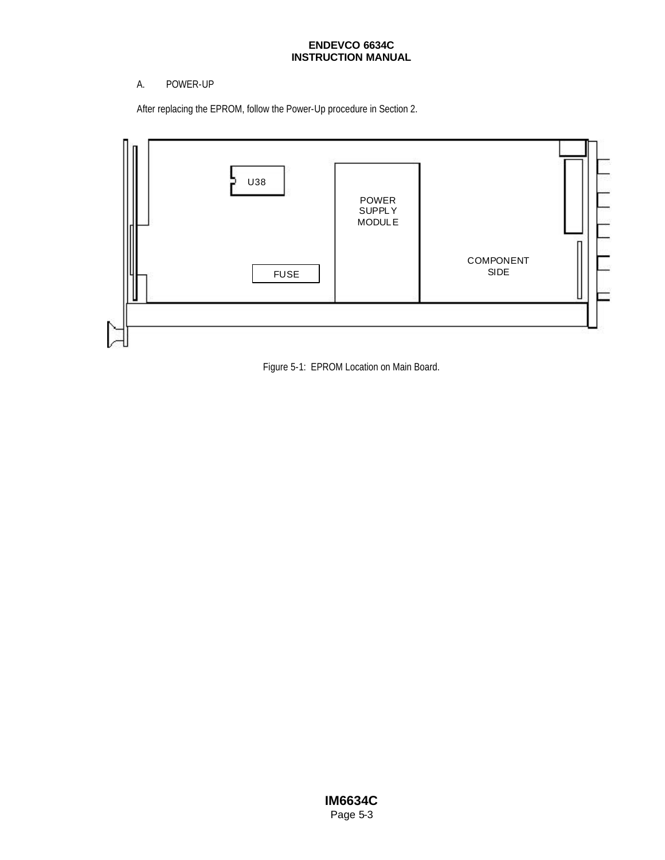### A. POWER-UP

After replacing the EPROM, follow the Power-Up procedure in Section 2.



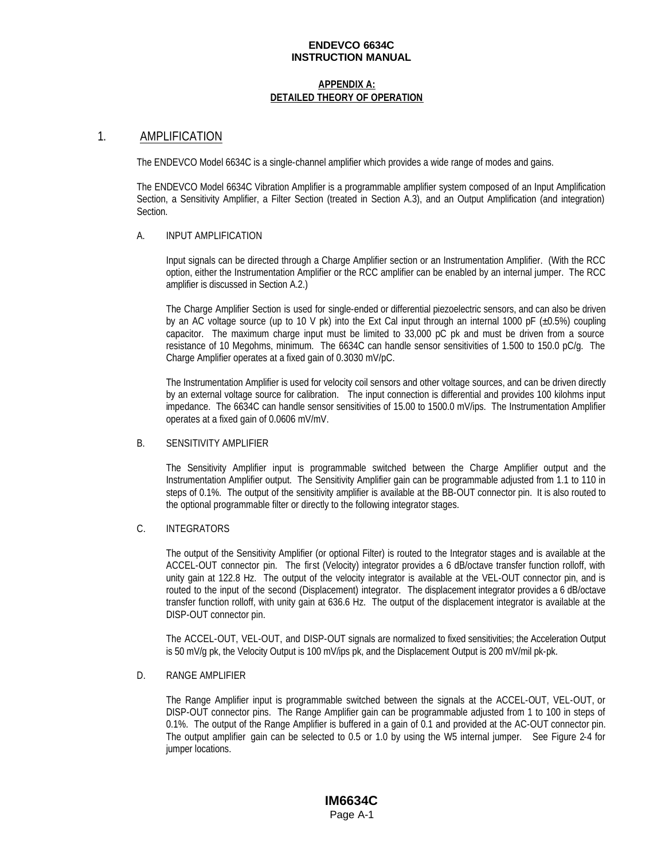#### **APPENDIX A: DETAILED THEORY OF OPERATION**

### 1. AMPLIFICATION

The ENDEVCO Model 6634C is a single-channel amplifier which provides a wide range of modes and gains.

The ENDEVCO Model 6634C Vibration Amplifier is a programmable amplifier system composed of an Input Amplification Section, a Sensitivity Amplifier, a Filter Section (treated in Section A.3), and an Output Amplification (and integration) Section.

#### A. INPUT AMPLIFICATION

Input signals can be directed through a Charge Amplifier section or an Instrumentation Amplifier. (With the RCC option, either the Instrumentation Amplifier or the RCC amplifier can be enabled by an internal jumper. The RCC amplifier is discussed in Section A.2.)

The Charge Amplifier Section is used for single-ended or differential piezoelectric sensors, and can also be driven by an AC voltage source (up to 10 V pk) into the Ext Cal input through an internal 1000 pF ( $\pm$ 0.5%) coupling capacitor. The maximum charge input must be limited to 33,000 pC pk and must be driven from a source resistance of 10 Megohms, minimum. The 6634C can handle sensor sensitivities of 1.500 to 150.0 pC/g. The Charge Amplifier operates at a fixed gain of 0.3030 mV/pC.

The Instrumentation Amplifier is used for velocity coil sensors and other voltage sources, and can be driven directly by an external voltage source for calibration. The input connection is differential and provides 100 kilohms input impedance. The 6634C can handle sensor sensitivities of 15.00 to 1500.0 mV/ips. The Instrumentation Amplifier operates at a fixed gain of 0.0606 mV/mV.

### B. SENSITIVITY AMPLIFIER

The Sensitivity Amplifier input is programmable switched between the Charge Amplifier output and the Instrumentation Amplifier output. The Sensitivity Amplifier gain can be programmable adjusted from 1.1 to 110 in steps of 0.1%. The output of the sensitivity amplifier is available at the BB-OUT connector pin. It is also routed to the optional programmable filter or directly to the following integrator stages.

### C. INTEGRATORS

The output of the Sensitivity Amplifier (or optional Filter) is routed to the Integrator stages and is available at the ACCEL-OUT connector pin. The first (Velocity) integrator provides a 6 dB/octave transfer function rolloff, with unity gain at 122.8 Hz. The output of the velocity integrator is available at the VEL-OUT connector pin, and is routed to the input of the second (Displacement) integrator. The displacement integrator provides a 6 dB/octave transfer function rolloff, with unity gain at 636.6 Hz. The output of the displacement integrator is available at the DISP-OUT connector pin.

The ACCEL-OUT, VEL-OUT, and DISP-OUT signals are normalized to fixed sensitivities; the Acceleration Output is 50 mV/g pk, the Velocity Output is 100 mV/ips pk, and the Displacement Output is 200 mV/mil pk-pk.

#### D. RANGE AMPLIFIER

The Range Amplifier input is programmable switched between the signals at the ACCEL-OUT, VEL-OUT, or DISP-OUT connector pins. The Range Amplifier gain can be programmable adjusted from 1 to 100 in steps of 0.1%. The output of the Range Amplifier is buffered in a gain of 0.1 and provided at the AC-OUT connector pin. The output amplifier gain can be selected to 0.5 or 1.0 by using the W5 internal jumper. See Figure 2-4 for jumper locations.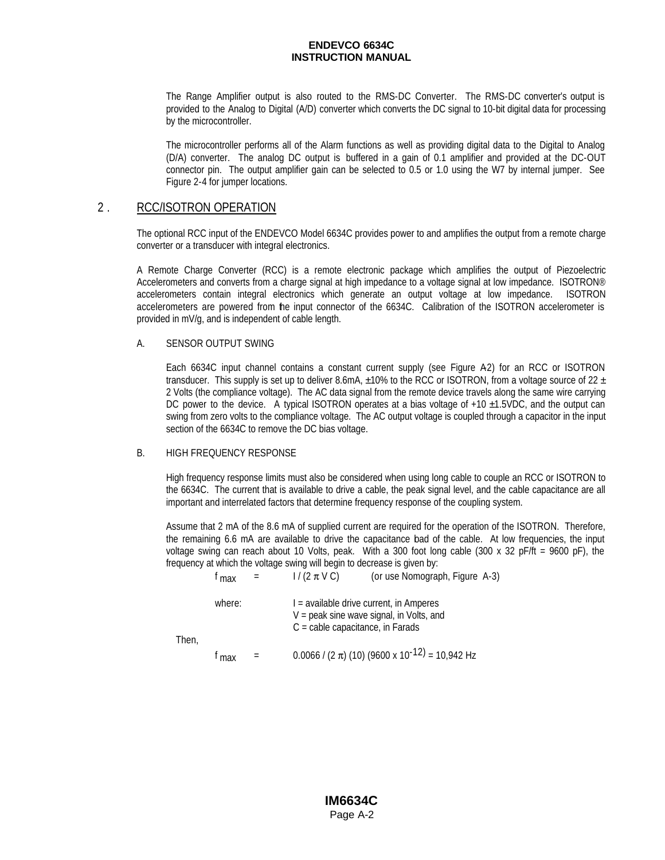The Range Amplifier output is also routed to the RMS-DC Converter. The RMS-DC converter's output is provided to the Analog to Digital (A/D) converter which converts the DC signal to 10-bit digital data for processing by the microcontroller.

The microcontroller performs all of the Alarm functions as well as providing digital data to the Digital to Analog (D/A) converter. The analog DC output is buffered in a gain of 0.1 amplifier and provided at the DC-OUT connector pin. The output amplifier gain can be selected to 0.5 or 1.0 using the W7 by internal jumper. See Figure 2-4 for jumper locations.

### 2 . RCC/ISOTRON OPERATION

The optional RCC input of the ENDEVCO Model 6634C provides power to and amplifies the output from a remote charge converter or a transducer with integral electronics.

A Remote Charge Converter (RCC) is a remote electronic package which amplifies the output of Piezoelectric Accelerometers and converts from a charge signal at high impedance to a voltage signal at low impedance. ISOTRON® accelerometers contain integral electronics which generate an output voltage at low impedance. ISOTRON accelerometers are powered from the input connector of the 6634C. Calibration of the ISOTRON accelerometer is provided in mV/g, and is independent of cable length.

#### A. SENSOR OUTPUT SWING

Each 6634C input channel contains a constant current supply (see Figure A2) for an RCC or ISOTRON transducer. This supply is set up to deliver 8.6mA,  $\pm$ 10% to the RCC or ISOTRON, from a voltage source of 22  $\pm$ 2 Volts (the compliance voltage). The AC data signal from the remote device travels along the same wire carrying DC power to the device. A typical ISOTRON operates at a bias voltage of +10  $\pm$ 1.5VDC, and the output can swing from zero volts to the compliance voltage. The AC output voltage is coupled through a capacitor in the input section of the 6634C to remove the DC bias voltage.

### B. HIGH FREQUENCY RESPONSE

High frequency response limits must also be considered when using long cable to couple an RCC or ISOTRON to the 6634C. The current that is available to drive a cable, the peak signal level, and the cable capacitance are all important and interrelated factors that determine frequency response of the coupling system.

Assume that 2 mA of the 8.6 mA of supplied current are required for the operation of the ISOTRON. Therefore, the remaining 6.6 mA are available to drive the capacitance load of the cable. At low frequencies, the input voltage swing can reach about 10 Volts, peak. With a 300 foot long cable (300 x 32 pF/ft = 9600 pF), the frequency at which the voltage swing will begin to decrease is given by:<br> $f_{\text{max}} = 1/(2 \pi \text{ V C})$  (or use Nomogran  $f_{\text{mov}} = \frac{1}{(2 \pi V C)}$  (or use Nomograph Figure A-3)

|       | ' max  |     |                                                                                                                                      | $\frac{1}{2}$ and the control apply the control $\pi$ -           |
|-------|--------|-----|--------------------------------------------------------------------------------------------------------------------------------------|-------------------------------------------------------------------|
|       | where: |     | $I = \alpha$ available drive current, in Amperes<br>$V =$ peak sine wave signal, in Volts, and<br>$C =$ cable capacitance, in Farads |                                                                   |
| Then, |        |     |                                                                                                                                      |                                                                   |
|       | max    | $=$ |                                                                                                                                      | $0.0066$ / (2 $\pi$ ) (10) (9600 x 10 <sup>-12)</sup> = 10,942 Hz |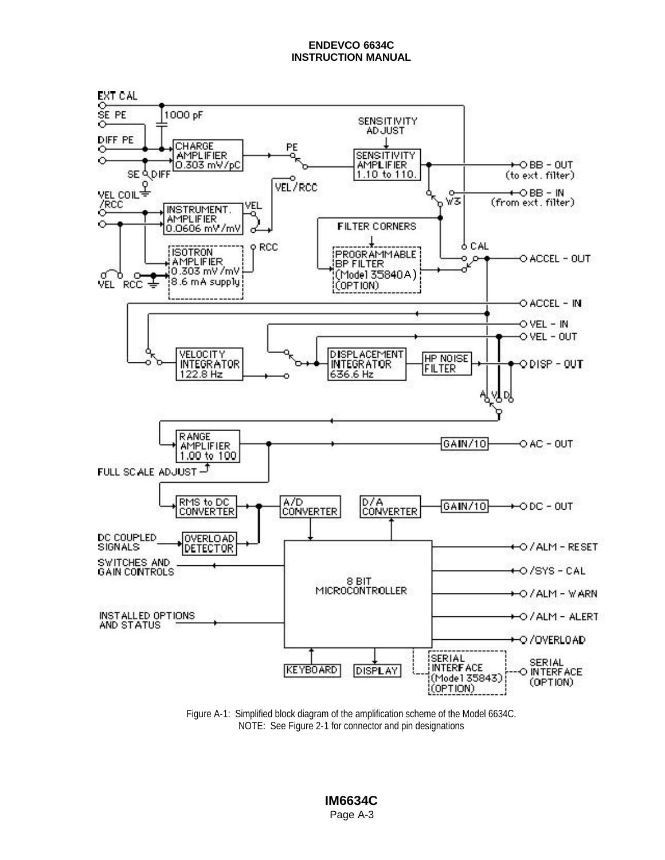

Figure A-1: Simplified block diagram of the amplification scheme of the Model 6634C. NOTE: See Figure 2-1 for connector and pin designations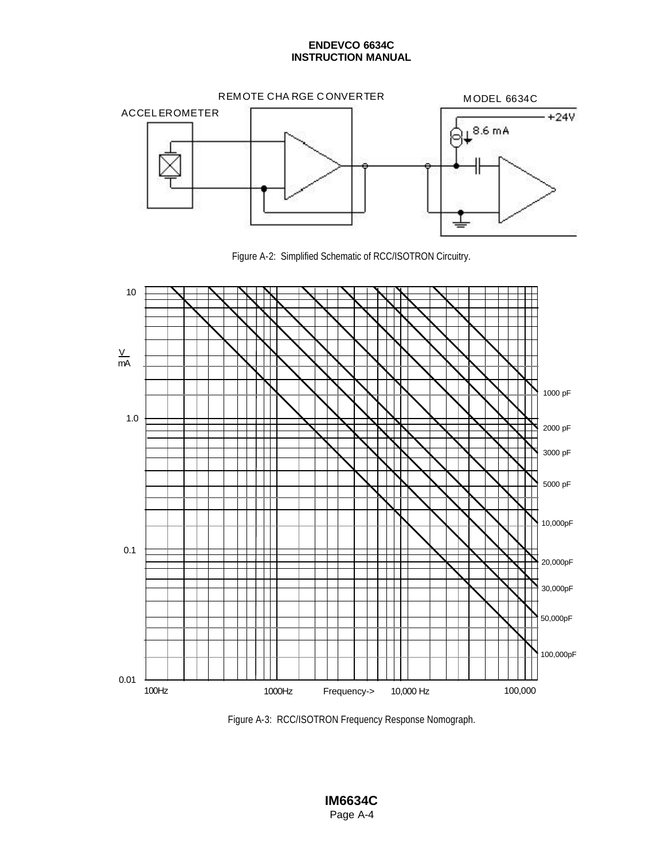

Figure A-2: Simplified Schematic of RCC/ISOTRON Circuitry.



Figure A-3: RCC/ISOTRON Frequency Response Nomograph.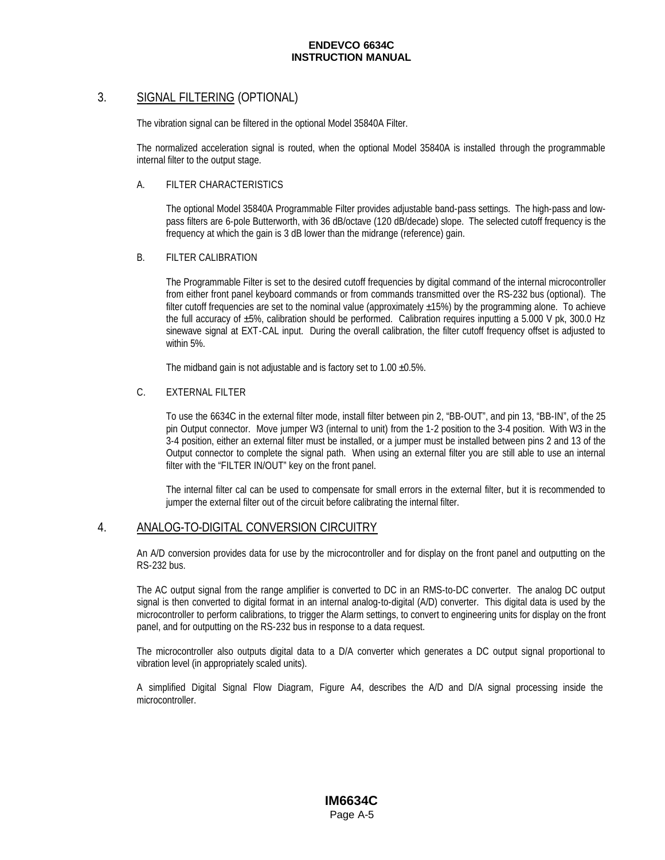## 3. SIGNAL FILTERING (OPTIONAL)

The vibration signal can be filtered in the optional Model 35840A Filter.

The normalized acceleration signal is routed, when the optional Model 35840A is installed through the programmable internal filter to the output stage.

### A. FILTER CHARACTERISTICS

The optional Model 35840A Programmable Filter provides adjustable band-pass settings. The high-pass and lowpass filters are 6-pole Butterworth, with 36 dB/octave (120 dB/decade) slope. The selected cutoff frequency is the frequency at which the gain is 3 dB lower than the midrange (reference) gain.

### B. FILTER CALIBRATION

The Programmable Filter is set to the desired cutoff frequencies by digital command of the internal microcontroller from either front panel keyboard commands or from commands transmitted over the RS-232 bus (optional). The filter cutoff frequencies are set to the nominal value (approximately  $\pm$ 15%) by the programming alone. To achieve the full accuracy of  $\pm 5\%$ , calibration should be performed. Calibration requires inputting a 5.000 V pk, 300.0 Hz sinewave signal at EXT-CAL input. During the overall calibration, the filter cutoff frequency offset is adjusted to within 5%.

The midband gain is not adjustable and is factory set to  $1.00 \pm 0.5\%$ .

#### C. EXTERNAL FILTER

To use the 6634C in the external filter mode, install filter between pin 2, "BB-OUT", and pin 13, "BB-IN", of the 25 pin Output connector. Move jumper W3 (internal to unit) from the 1-2 position to the 3-4 position. With W3 in the 3-4 position, either an external filter must be installed, or a jumper must be installed between pins 2 and 13 of the Output connector to complete the signal path. When using an external filter you are still able to use an internal filter with the "FILTER IN/OUT" key on the front panel.

The internal filter cal can be used to compensate for small errors in the external filter, but it is recommended to jumper the external filter out of the circuit before calibrating the internal filter.

### 4. ANALOG-TO-DIGITAL CONVERSION CIRCUITRY

An A/D conversion provides data for use by the microcontroller and for display on the front panel and outputting on the RS-232 bus.

The AC output signal from the range amplifier is converted to DC in an RMS-to-DC converter. The analog DC output signal is then converted to digital format in an internal analog-to-digital (A/D) converter. This digital data is used by the microcontroller to perform calibrations, to trigger the Alarm settings, to convert to engineering units for display on the front panel, and for outputting on the RS-232 bus in response to a data request.

The microcontroller also outputs digital data to a D/A converter which generates a DC output signal proportional to vibration level (in appropriately scaled units).

A simplified Digital Signal Flow Diagram, Figure A4, describes the A/D and D/A signal processing inside the microcontroller.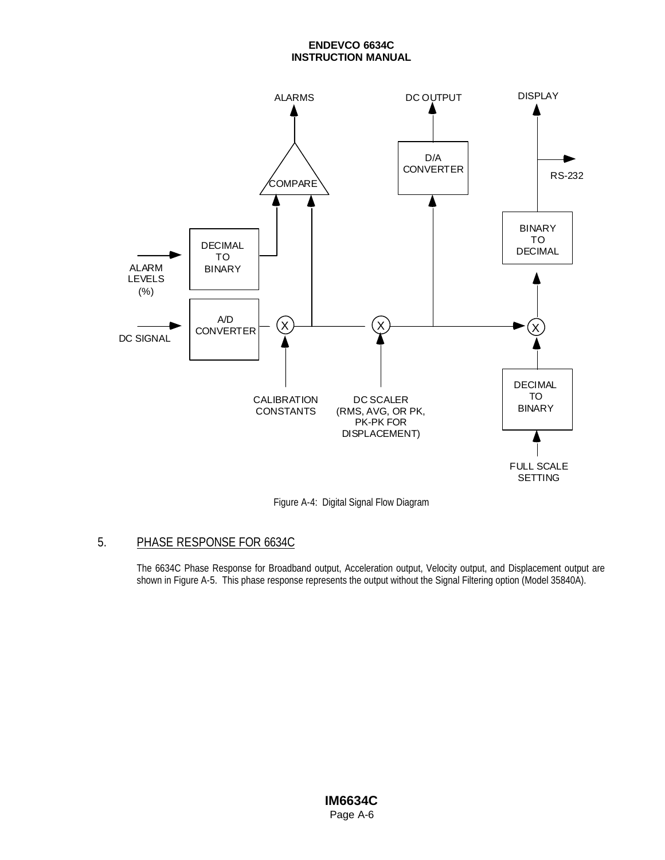

Figure A-4: Digital Signal Flow Diagram

# 5. PHASE RESPONSE FOR 6634C

The 6634C Phase Response for Broadband output, Acceleration output, Velocity output, and Displacement output are shown in Figure A-5. This phase response represents the output without the Signal Filtering option (Model 35840A).